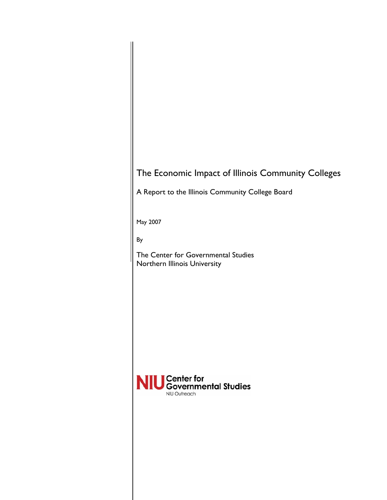# The Economic Impact of Illinois Community Colleges

A Report to the Illinois Community College Board

May 2007

By

The Center for Governmental Studies Northern Illinois University

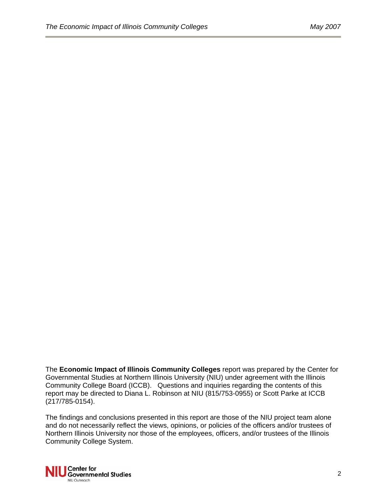The **Economic Impact of Illinois Community Colleges** report was prepared by the Center for Governmental Studies at Northern Illinois University (NIU) under agreement with the Illinois Community College Board (ICCB). Questions and inquiries regarding the contents of this report may be directed to Diana L. Robinson at NIU (815/753-0955) or Scott Parke at ICCB (217/785-0154).

The findings and conclusions presented in this report are those of the NIU project team alone and do not necessarily reflect the views, opinions, or policies of the officers and/or trustees of Northern Illinois University nor those of the employees, officers, and/or trustees of the Illinois Community College System.

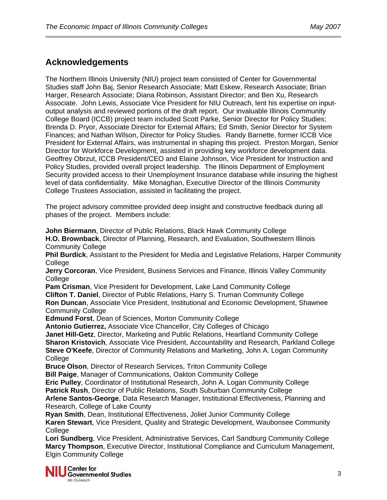## **Acknowledgements**

The Northern Illinois University (NIU) project team consisted of Center for Governmental Studies staff John Baj, Senior Research Associate; Matt Eskew, Research Associate; Brian Harger, Research Associate; Diana Robinson, Assistant Director; and Ben Xu, Research Associate. John Lewis, Associate Vice President for NIU Outreach, lent his expertise on inputoutput analysis and reviewed portions of the draft report. Our invaluable Illinois Community College Board (ICCB) project team included Scott Parke, Senior Director for Policy Studies; Brenda D. Pryor, Associate Director for External Affairs; Ed Smith, Senior Director for System Finances; and Nathan Wilson, Director for Policy Studies. Randy Barnette, former ICCB Vice President for External Affairs, was instrumental in shaping this project. Preston Morgan, Senior Director for Workforce Development, assisted in providing key workforce development data. Geoffrey Obrzut, ICCB President/CEO and Elaine Johnson, Vice President for Instruction and Policy Studies, provided overall project leadership. The Illinois Department of Employment Security provided access to their Unemployment Insurance database while insuring the highest level of data confidentiality. Mike Monaghan, Executive Director of the Illinois Community College Trustees Association, assisted in facilitating the project.

The project advisory committee provided deep insight and constructive feedback during all phases of the project. Members include:

**John Biermann**, Director of Public Relations, Black Hawk Community College **H.O. Brownback**, Director of Planning, Research, and Evaluation, Southwestern Illinois Community College **Phil Burdick**, Assistant to the President for Media and Legislative Relations, Harper Community **College Jerry Corcoran**, Vice President, Business Services and Finance, Illinois Valley Community College **Pam Crisman**, Vice President for Development, Lake Land Community College **Clifton T. Daniel**, Director of Public Relations, Harry S. Truman Community College **Ron Duncan**, Associate Vice President, Institutional and Economic Development, Shawnee Community College

**Edmund Forst**, Dean of Sciences, Morton Community College

**Antonio Gutierrez,** Associate Vice Chancellor, City Colleges of Chicago

**Janet Hill-Getz**, Director, Marketing and Public Relations, Heartland Community College **Sharon Kristovich**, Associate Vice President, Accountability and Research, Parkland College **Steve O'Keefe**, Director of Community Relations and Marketing, John A. Logan Community **College** 

**Bruce Olson**, Director of Research Services, Triton Community College

**Bill Paige**, Manager of Communications, Oakton Community College

**Eric Pulley**, Coordinator of Institutional Research, John A. Logan Community College **Patrick Rush**, Director of Public Relations, South Suburban Community College

**Arlene Santos-George**, Data Research Manager, Institutional Effectiveness, Planning and Research, College of Lake County

**Ryan Smith**, Dean, Institutional Effectiveness, Joliet Junior Community College **Karen Stewart**, Vice President, Quality and Strategic Development, Waubonsee Community **College** 

**Lori Sundberg**, Vice President, Administrative Services, Carl Sandburg Community College **Marcy Thompson**, Executive Director, Institutional Compliance and Curriculum Management, Elgin Community College

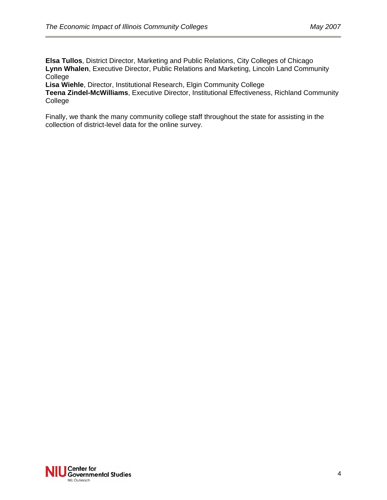**Elsa Tullos**, District Director, Marketing and Public Relations, City Colleges of Chicago **Lynn Whalen**, Executive Director, Public Relations and Marketing, Lincoln Land Community **College** 

**Lisa Wiehle**, Director, Institutional Research, Elgin Community College

**Teena Zindel-McWilliams**, Executive Director, Institutional Effectiveness, Richland Community College

Finally, we thank the many community college staff throughout the state for assisting in the collection of district-level data for the online survey.

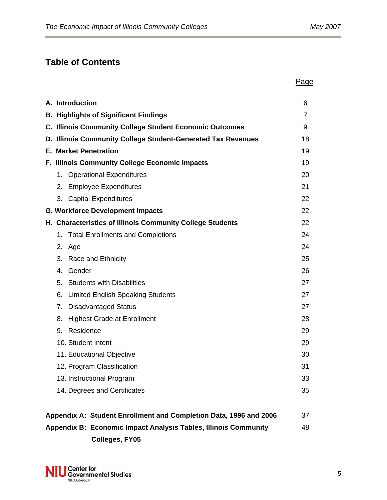## **Table of Contents**

|                                                                   | Page |
|-------------------------------------------------------------------|------|
| A. Introduction                                                   | 6    |
| <b>B. Highlights of Significant Findings</b>                      | 7    |
| <b>C. Illinois Community College Student Economic Outcomes</b>    | 9    |
| D. Illinois Community College Student-Generated Tax Revenues      | 18   |
| <b>E. Market Penetration</b>                                      | 19   |
| F. Illinois Community College Economic Impacts                    | 19   |
| <b>Operational Expenditures</b><br>1.                             | 20   |
| <b>Employee Expenditures</b><br>2.                                | 21   |
| 3. Capital Expenditures                                           | 22   |
| <b>G. Workforce Development Impacts</b>                           | 22   |
| H. Characteristics of Illinois Community College Students         | 22   |
| <b>Total Enrollments and Completions</b><br>1.                    | 24   |
| 2.<br>Age                                                         | 24   |
| 3.<br>Race and Ethnicity                                          | 25   |
| Gender<br>$\mathbf{4}_{\cdot}$                                    | 26   |
| <b>Students with Disabilities</b><br>5.                           | 27   |
| 6.<br><b>Limited English Speaking Students</b>                    | 27   |
| 7.<br><b>Disadvantaged Status</b>                                 | 27   |
| 8.<br><b>Highest Grade at Enrollment</b>                          | 28   |
| Residence<br>9.                                                   | 29   |
| 10. Student Intent                                                | 29   |
| 11. Educational Objective                                         | 30   |
| 12. Program Classification                                        | 31   |
| 13. Instructional Program                                         | 33   |
| 14. Degrees and Certificates                                      | 35   |
| Appendix A: Student Enrollment and Completion Data, 1996 and 2006 | 37   |
| Appendix B: Economic Impact Analysis Tables, Illinois Community   | 48   |
| Colleges, FY05                                                    |      |

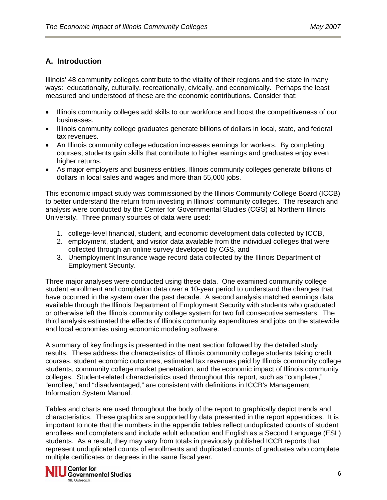## **A. Introduction**

Illinois' 48 community colleges contribute to the vitality of their regions and the state in many ways: educationally, culturally, recreationally, civically, and economically. Perhaps the least measured and understood of these are the economic contributions. Consider that:

- Illinois community colleges add skills to our workforce and boost the competitiveness of our businesses.
- Illinois community college graduates generate billions of dollars in local, state, and federal tax revenues.
- An Illinois community college education increases earnings for workers. By completing courses, students gain skills that contribute to higher earnings and graduates enjoy even higher returns.
- As major employers and business entities, Illinois community colleges generate billions of dollars in local sales and wages and more than 55,000 jobs.

This economic impact study was commissioned by the Illinois Community College Board (ICCB) to better understand the return from investing in Illinois' community colleges. The research and analysis were conducted by the Center for Governmental Studies (CGS) at Northern Illinois University. Three primary sources of data were used:

- 1. college-level financial, student, and economic development data collected by ICCB,
- 2. employment, student, and visitor data available from the individual colleges that were collected through an online survey developed by CGS, and
- 3. Unemployment Insurance wage record data collected by the Illinois Department of Employment Security.

Three major analyses were conducted using these data. One examined community college student enrollment and completion data over a 10-year period to understand the changes that have occurred in the system over the past decade. A second analysis matched earnings data available through the Illinois Department of Employment Security with students who graduated or otherwise left the Illinois community college system for two full consecutive semesters. The third analysis estimated the effects of Illinois community expenditures and jobs on the statewide and local economies using economic modeling software.

A summary of key findings is presented in the next section followed by the detailed study results. These address the characteristics of Illinois community college students taking credit courses, student economic outcomes, estimated tax revenues paid by Illinois community college students, community college market penetration, and the economic impact of Illinois community colleges. Student-related characteristics used throughout this report, such as "completer," "enrollee," and "disadvantaged," are consistent with definitions in ICCB's Management Information System Manual.

Tables and charts are used throughout the body of the report to graphically depict trends and characteristics. These graphics are supported by data presented in the report appendices. It is important to note that the numbers in the appendix tables reflect unduplicated counts of student enrollees and completers and include adult education and English as a Second Language (ESL) students. As a result, they may vary from totals in previously published ICCB reports that represent unduplicated counts of enrollments and duplicated counts of graduates who complete multiple certificates or degrees in the same fiscal year.

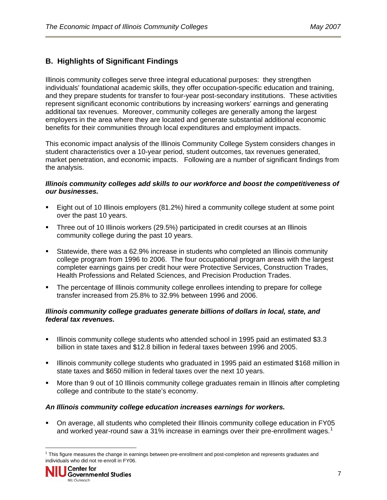### **B. Highlights of Significant Findings**

Illinois community colleges serve three integral educational purposes: they strengthen individuals' foundational academic skills, they offer occupation-specific education and training, and they prepare students for transfer to four-year post-secondary institutions. These activities represent significant economic contributions by increasing workers' earnings and generating additional tax revenues. Moreover, community colleges are generally among the largest employers in the area where they are located and generate substantial additional economic benefits for their communities through local expenditures and employment impacts.

This economic impact analysis of the Illinois Community College System considers changes in student characteristics over a 10-year period, student outcomes, tax revenues generated, market penetration, and economic impacts. Following are a number of significant findings from the analysis.

#### *Illinois community colleges add skills to our workforce and boost the competitiveness of our businesses.*

- Eight out of 10 Illinois employers (81.2%) hired a community college student at some point over the past 10 years.
- Three out of 10 Illinois workers (29.5%) participated in credit courses at an Illinois community college during the past 10 years.
- Statewide, there was a 62.9% increase in students who completed an Illinois community college program from 1996 to 2006. The four occupational program areas with the largest completer earnings gains per credit hour were Protective Services, Construction Trades, Health Professions and Related Sciences, and Precision Production Trades.
- The percentage of Illinois community college enrollees intending to prepare for college transfer increased from 25.8% to 32.9% between 1996 and 2006.

#### *Illinois community college graduates generate billions of dollars in local, state, and federal tax revenues.*

- Illinois community college students who attended school in 1995 paid an estimated \$3.3 billion in state taxes and \$12.8 billion in federal taxes between 1996 and 2005.
- Illinois community college students who graduated in 1995 paid an estimated \$168 million in state taxes and \$650 million in federal taxes over the next 10 years.
- More than 9 out of 10 Illinois community college graduates remain in Illinois after completing college and contribute to the state's economy.

#### *An Illinois community college education increases earnings for workers.*

 On average, all students who completed their Illinois community college education in FY05 and worked year-round saw a 3[1](#page-6-0)% increase in earnings over their pre-enrollment wages.<sup>1</sup>

<span id="page-6-0"></span> $1$  This figure measures the change in earnings between pre-enrollment and post-completion and represents graduates and individuals who did not re-enroll in FY06.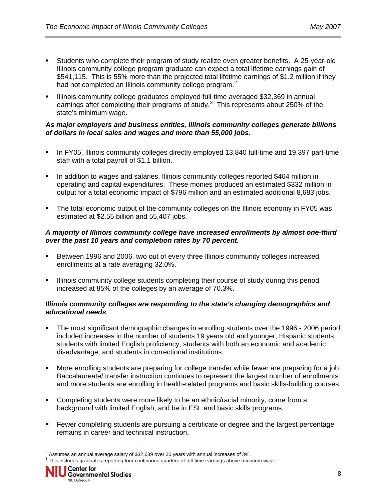- Students who complete their program of study realize even greater benefits. A 25-year-old Illinois community college program graduate can expect a total lifetime earnings gain of \$541,115. This is 55% more than the projected total lifetime earnings of \$1.2 million if they had not completed an Illinois community college program.<sup>[2](#page-7-0)</sup>
- Illinois community college graduates employed full-time averaged \$32,369 in annual earnings after completing their programs of study. $3$  This represents about 250% of the state's minimum wage.

#### *As major employers and business entities, Illinois community colleges generate billions of dollars in local sales and wages and more than 55,000 jobs.*

- In FY05, Illinois community colleges directly employed 13,840 full-time and 19,397 part-time staff with a total payroll of \$1.1 billion.
- In addition to wages and salaries, Illinois community colleges reported \$464 million in operating and capital expenditures. These monies produced an estimated \$332 million in output for a total economic impact of \$796 million and an estimated additional 8,683 jobs.
- The total economic output of the community colleges on the Illinois economy in FY05 was estimated at \$2.55 billion and 55,407 jobs.

#### *A majority of Illinois community college have increased enrollments by almost one-third over the past 10 years and completion rates by 70 percent.*

- Between 1996 and 2006, two out of every three Illinois community colleges increased enrollments at a rate averaging 32.0%.
- Illinois community college students completing their course of study during this period increased at 85% of the colleges by an average of 70.3%.

#### *Illinois community colleges are responding to the state's changing demographics and educational needs*.

- The most significant demographic changes in enrolling students over the 1996 2006 period included increases in the number of students 19 years old and younger, Hispanic students, students with limited English proficiency, students with both an economic and academic disadvantage, and students in correctional institutions.
- More enrolling students are preparing for college transfer while fewer are preparing for a job. Baccalaureate/ transfer instruction continues to represent the largest number of enrollments and more students are enrolling in health-related programs and basic skills-building courses.
- Completing students were more likely to be an ethnic/racial minority, come from a background with limited English, and be in ESL and basic skills programs.
- Fewer completing students are pursuing a certificate or degree and the largest percentage remains in career and technical instruction.

<span id="page-7-1"></span><span id="page-7-0"></span> $2$  Assumes an annual average salary of \$32,639 over 30 years with annual increases of 3%.

 $3$  This includes graduates reporting four continuous quarters of full-time earnings above minimum wage.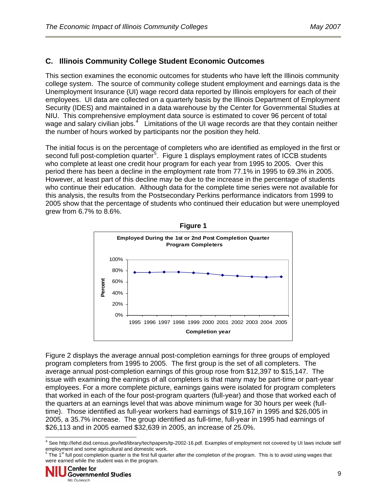## **C. Illinois Community College Student Economic Outcomes**

This section examines the economic outcomes for students who have left the Illinois community college system. The source of community college student employment and earnings data is the Unemployment Insurance (UI) wage record data reported by Illinois employers for each of their employees. UI data are collected on a quarterly basis by the Illinois Department of Employment Security (IDES) and maintained in a data warehouse by the Center for Governmental Studies at NIU. This comprehensive employment data source is estimated to cover 96 percent of total wage and salary civilian jobs.<sup>[4](#page-8-0)</sup> Limitations of the UI wage records are that they contain neither the number of hours worked by participants nor the position they held.

The initial focus is on the percentage of completers who are identified as employed in the first or second full post-completion quarter<sup>[5](#page-8-1)</sup>. Figure 1 displays employment rates of ICCB students who complete at least one credit hour program for each year from 1995 to 2005. Over this period there has been a decline in the employment rate from 77.1% in 1995 to 69.3% in 2005. However, at least part of this decline may be due to the increase in the percentage of students who continue their education. Although data for the complete time series were not available for this analysis, the results from the Postsecondary Perkins performance indicators from 1999 to 2005 show that the percentage of students who continued their education but were unemployed grew from 6.7% to 8.6%.



Figure 2 displays the average annual post-completion earnings for three groups of employed program completers from 1995 to 2005. The first group is the set of all completers. The average annual post-completion earnings of this group rose from \$12,397 to \$15,147. The issue with examining the earnings of all completers is that many may be part-time or part-year employees. For a more complete picture, earnings gains were isolated for program completers that worked in each of the four post-program quarters (full-year) and those that worked each of the quarters at an earnings level that was above minimum wage for 30 hours per week (fulltime). Those identified as full-year workers had earnings of \$19,167 in 1995 and \$26,005 in 2005, a 35.7% increase. The group identified as full-time, full-year in 1995 had earnings of \$26,113 and in 2005 earned \$32,639 in 2005, an increase of 25.0%.

<span id="page-8-0"></span><sup>&</sup>lt;sup>4</sup> See http://lehd.dsd.census.gov/led/library/techpapers/tp-2002-16.pdf. Examples of employment not covered by UI laws include self

<span id="page-8-1"></span>employment and some agricultural and domestic work.<br><sup>5</sup> The 1<sup>st</sup> full post completion quarter is the first full quarter after the completion of the program. This is to avoid using wages that were earned while the student was in the program.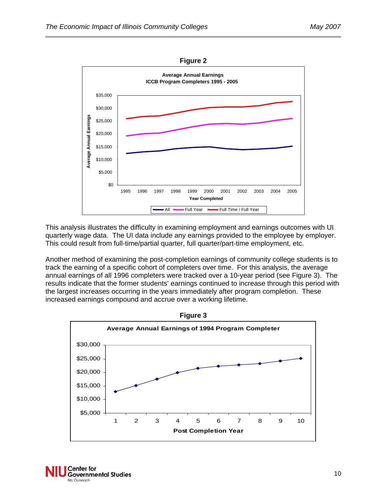

This analysis illustrates the difficulty in examining employment and earnings outcomes with UI quarterly wage data. The UI data include any earnings provided to the employee by employer. This could result from full-time/partial quarter, full quarter/part-time employment, etc.

Another method of examining the post-completion earnings of community college students is to track the earning of a specific cohort of completers over time. For this analysis, the average annual earnings of all 1996 completers were tracked over a 10-year period (see Figure 3). The results indicate that the former students' earnings continued to increase through this period with the largest increases occurring in the years immediately after program completion. These increased earnings compound and accrue over a working lifetime.



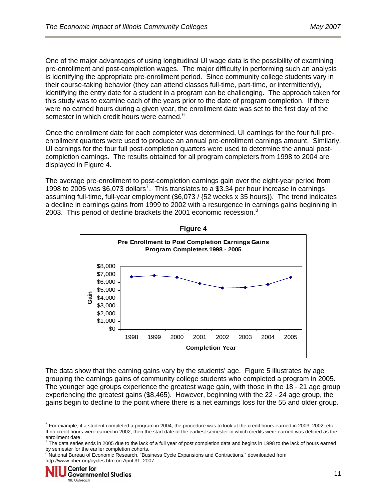One of the major advantages of using longitudinal UI wage data is the possibility of examining pre-enrollment and post-completion wages. The major difficulty in performing such an analysis is identifying the appropriate pre-enrollment period. Since community college students vary in their course-taking behavior (they can attend classes full-time, part-time, or intermittently), identifying the entry date for a student in a program can be challenging. The approach taken for this study was to examine each of the years prior to the date of program completion. If there were no earned hours during a given year, the enrollment date was set to the first day of the semester in which credit hours were earned.<sup>[6](#page-10-0)</sup>

Once the enrollment date for each completer was determined, UI earnings for the four full preenrollment quarters were used to produce an annual pre-enrollment earnings amount. Similarly, UI earnings for the four full post-completion quarters were used to determine the annual postcompletion earnings. The results obtained for all program completers from 1998 to 2004 are displayed in Figure 4.

The average pre-enrollment to post-completion earnings gain over the eight-year period from 1998 to 2005 was \$6,0[7](#page-10-1)3 dollars<sup>7</sup>. This translates to a \$3.34 per hour increase in earnings assuming full-time, full-year employment (\$6,073 / {52 weeks x 35 hours}). The trend indicates a decline in earnings gains from 1999 to 2002 with a resurgence in earnings gains beginning in 2003. This period of decline brackets the 2001 economic recession.<sup>[8](#page-10-2)</sup>



**Figure 4** 

The data show that the earning gains vary by the students' age. Figure 5 illustrates by age grouping the earnings gains of community college students who completed a program in 2005. The younger age groups experience the greatest wage gain, with those in the 18 - 21 age group experiencing the greatest gains (\$8,465). However, beginning with the 22 - 24 age group, the gains begin to decline to the point where there is a net earnings loss for the 55 and older group.

<span id="page-10-0"></span>l  $6$  For example, if a student completed a program in 2004, the procedure was to look at the credit hours earned in 2003, 2002, etc.. If no credit hours were earned in 2002, then the start date of the earliest semester in which credits were earned was defined as the

<span id="page-10-1"></span>enrollment date.<br><sup>7</sup> The data series ends in 2005 due to the lack of a full year of post completion data and begins in 1998 to the lack of hours earned by semester for the earlier completion cohorts.<br><sup>8</sup> National Bureau of Economic Research, "Business Cycle Expansions and Contractions," downloaded from

<span id="page-10-2"></span>[http://www.nber.org/cycles.htm on April 31,](http://www.nber.org/cycles.htm%20on%20April%2031) 2007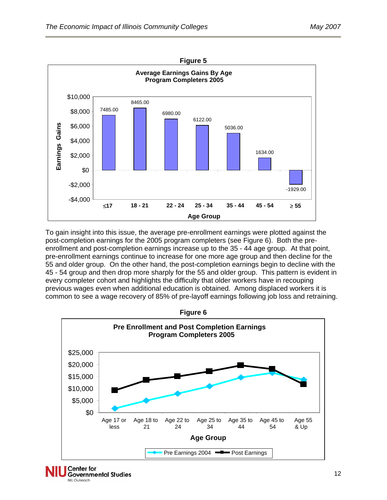

To gain insight into this issue, the average pre-enrollment earnings were plotted against the post-completion earnings for the 2005 program completers (see Figure 6). Both the preenrollment and post-completion earnings increase up to the 35 - 44 age group. At that point, pre-enrollment earnings continue to increase for one more age group and then decline for the 55 and older group. On the other hand, the post-completion earnings begin to decline with the 45 - 54 group and then drop more sharply for the 55 and older group. This pattern is evident in every completer cohort and highlights the difficulty that older workers have in recouping previous wages even when additional education is obtained. Among displaced workers it is common to see a wage recovery of 85% of pre-layoff earnings following job loss and retraining.



#### **Center for Governmental Studies** NIU Outreach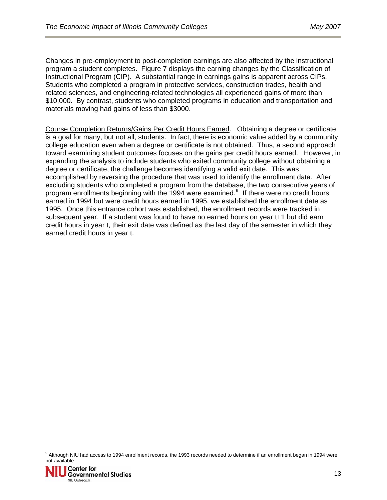Changes in pre-employment to post-completion earnings are also affected by the instructional program a student completes. Figure 7 displays the earning changes by the Classification of Instructional Program (CIP). A substantial range in earnings gains is apparent across CIPs. Students who completed a program in protective services, construction trades, health and related sciences, and engineering-related technologies all experienced gains of more than \$10,000. By contrast, students who completed programs in education and transportation and materials moving had gains of less than \$3000.

Course Completion Returns/Gains Per Credit Hours Earned. Obtaining a degree or certificate is a goal for many, but not all, students. In fact, there is economic value added by a community college education even when a degree or certificate is not obtained. Thus, a second approach toward examining student outcomes focuses on the gains per credit hours earned. However, in expanding the analysis to include students who exited community college without obtaining a degree or certificate, the challenge becomes identifying a valid exit date. This was accomplished by reversing the procedure that was used to identify the enrollment data. After excluding students who completed a program from the database, the two consecutive years of program enrollments beginning with the 1994 were examined.<sup>9</sup> If there were no credit hours earned in 1994 but were credit hours earned in 1995, we established the enrollment date as 1995. Once this entrance cohort was established, the enrollment records were tracked in subsequent year. If a student was found to have no earned hours on year t+1 but did earn credit hours in year t, their exit date was defined as the last day of the semester in which they earned credit hours in year t.

 9 Although NIU had access to 1994 enrollment records, the 1993 records needed to determine if an enrollment began in 1994 were not available.

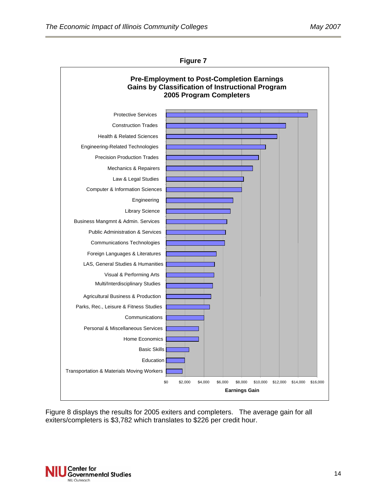

**Figure 7** 

Figure 8 displays the results for 2005 exiters and completers. The average gain for all exiters/completers is \$3,782 which translates to \$226 per credit hour.

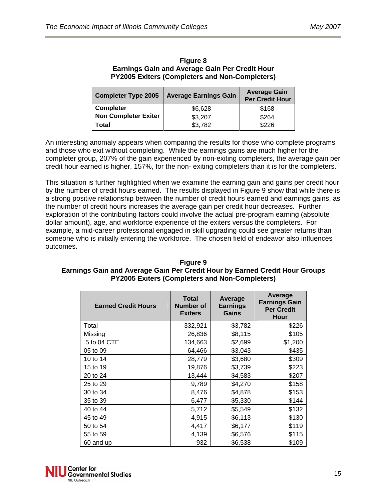| <b>Completer Type 2005</b>  | <b>Average Earnings Gain</b> | <b>Average Gain</b><br><b>Per Credit Hour</b> |  |
|-----------------------------|------------------------------|-----------------------------------------------|--|
| <b>Completer</b>            | \$6,628                      | \$168                                         |  |
| <b>Non Completer Exiter</b> | \$3,207                      | \$264                                         |  |
| Total                       | \$3,782                      | \$226                                         |  |

**Figure 8 Earnings Gain and Average Gain Per Credit Hour PY2005 Exiters (Completers and Non-Completers)** 

An interesting anomaly appears when comparing the results for those who complete programs and those who exit without completing. While the earnings gains are much higher for the completer group, 207% of the gain experienced by non-exiting completers, the average gain per credit hour earned is higher, 157%, for the non- exiting completers than it is for the completers.

This situation is further highlighted when we examine the earning gain and gains per credit hour by the number of credit hours earned. The results displayed in Figure 9 show that while there is a strong positive relationship between the number of credit hours earned and earnings gains, as the number of credit hours increases the average gain per credit hour decreases. Further exploration of the contributing factors could involve the actual pre-program earning (absolute dollar amount), age, and workforce experience of the exiters versus the completers. For example, a mid-career professional engaged in skill upgrading could see greater returns than someone who is initially entering the workforce. The chosen field of endeavor also influences outcomes.

| <b>Figure 9</b>                                                             |
|-----------------------------------------------------------------------------|
| Earnings Gain and Average Gain Per Credit Hour by Earned Credit Hour Groups |
| <b>PY2005 Exiters (Completers and Non-Completers)</b>                       |

| <b>Earned Credit Hours</b> | Total<br>Number of<br><b>Exiters</b> | Average<br><b>Earnings</b><br>Gains | Average<br><b>Earnings Gain</b><br><b>Per Credit</b><br>Hour |
|----------------------------|--------------------------------------|-------------------------------------|--------------------------------------------------------------|
| Total                      | 332,921                              | \$3,782                             | \$226                                                        |
| Missing                    | 26,836                               | \$8,115                             | \$105                                                        |
| .5 to 04 CTE               | 134,663                              | \$2,699                             | \$1,200                                                      |
| 05 to 09                   | 64,466                               | \$3,043                             | \$435                                                        |
| 10 to 14                   | 28,779                               | \$3,680                             | \$309                                                        |
| 15 to 19                   | 19,876                               | \$3,739                             | \$223                                                        |
| 20 to 24                   | 13,444                               | \$4,583                             | \$207                                                        |
| 25 to 29                   | 9,789                                | \$4,270                             | \$158                                                        |
| 30 to 34                   | 8,476                                | \$4,878                             | \$153                                                        |
| 35 to 39                   | 6,477                                | \$5,330                             | \$144                                                        |
| 40 to 44                   | 5,712                                | \$5,549                             | \$132                                                        |
| 45 to 49                   | 4,915                                | \$6,113                             | \$130                                                        |
| 50 to 54                   | 4,417                                | \$6,177                             | \$119                                                        |
| 55 to 59                   | 4,139                                | \$6,576                             | \$115                                                        |
| 60 and up                  | 932                                  | \$6,538                             | \$109                                                        |

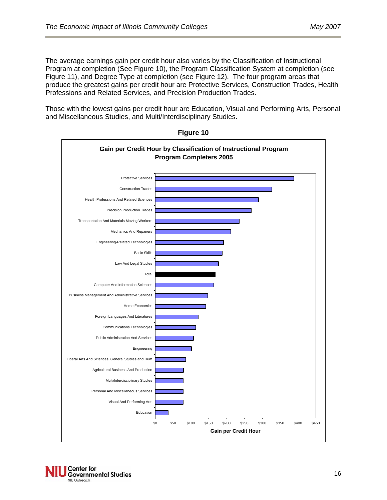The average earnings gain per credit hour also varies by the Classification of Instructional Program at completion (See Figure 10), the Program Classification System at completion (see Figure 11), and Degree Type at completion (see Figure 12). The four program areas that produce the greatest gains per credit hour are Protective Services, Construction Trades, Health Professions and Related Services, and Precision Production Trades.

Those with the lowest gains per credit hour are Education, Visual and Performing Arts, Personal and Miscellaneous Studies, and Multi/Interdisciplinary Studies.



**Figure 10** 

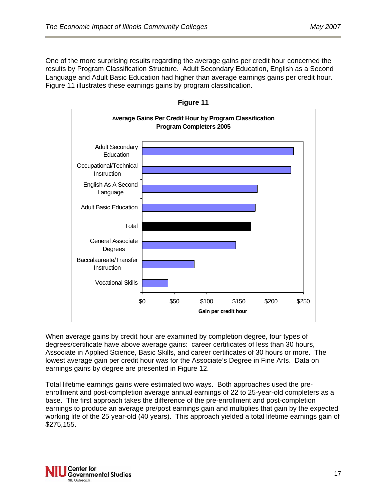

When average gains by credit hour are examined by completion degree, four types of degrees/certificate have above average gains: career certificates of less than 30 hours, Associate in Applied Science, Basic Skills, and career certificates of 30 hours or more. The lowest average gain per credit hour was for the Associate's Degree in Fine Arts. Data on earnings gains by degree are presented in Figure 12.

Total lifetime earnings gains were estimated two ways. Both approaches used the preenrollment and post-completion average annual earnings of 22 to 25-year-old completers as a base. The first approach takes the difference of the pre-enrollment and post-completion earnings to produce an average pre/post earnings gain and multiplies that gain by the expected working life of the 25 year-old (40 years). This approach yielded a total lifetime earnings gain of \$275,155.

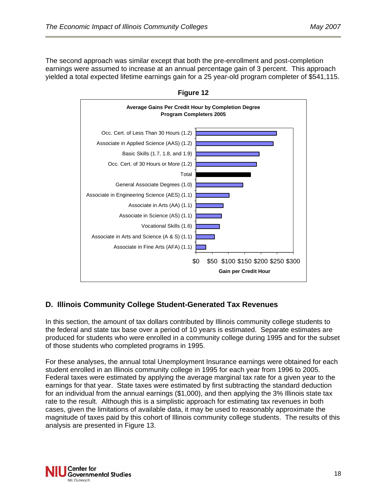The second approach was similar except that both the pre-enrollment and post-completion earnings were assumed to increase at an annual percentage gain of 3 percent. This approach yielded a total expected lifetime earnings gain for a 25 year-old program completer of \$541,115.



**Figure 12** 

## **D. Illinois Community College Student-Generated Tax Revenues**

In this section, the amount of tax dollars contributed by Illinois community college students to the federal and state tax base over a period of 10 years is estimated. Separate estimates are produced for students who were enrolled in a community college during 1995 and for the subset of those students who completed programs in 1995.

For these analyses, the annual total Unemployment Insurance earnings were obtained for each student enrolled in an Illinois community college in 1995 for each year from 1996 to 2005. Federal taxes were estimated by applying the average marginal tax rate for a given year to the earnings for that year. State taxes were estimated by first subtracting the standard deduction for an individual from the annual earnings (\$1,000), and then applying the 3% Illinois state tax rate to the result. Although this is a simplistic approach for estimating tax revenues in both cases, given the limitations of available data, it may be used to reasonably approximate the magnitude of taxes paid by this cohort of Illinois community college students. The results of this analysis are presented in Figure 13.

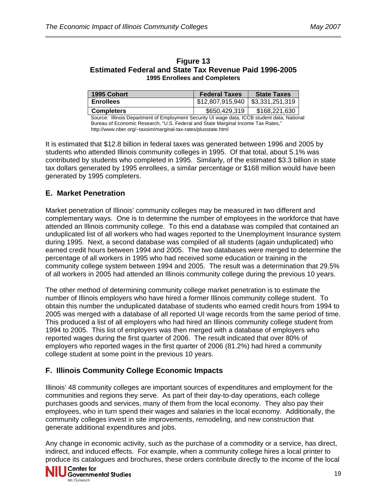| <b>Figure 13</b>                                              |  |  |  |  |
|---------------------------------------------------------------|--|--|--|--|
| <b>Estimated Federal and State Tax Revenue Paid 1996-2005</b> |  |  |  |  |
| <b>1995 Enrollees and Completers</b>                          |  |  |  |  |

| 1995 Cohort       | <b>Federal Taxes</b>               | <b>State Taxes</b> |
|-------------------|------------------------------------|--------------------|
| <b>Enrollees</b>  | \$12,807,915,940   \$3,331,251,319 |                    |
| <b>Completers</b> | \$650,429,319                      | \$168,221,630      |

Source: Illinois Department of Employment Security UI wage data, ICCB student data, National Bureau of Economic Research, "U.S. Federal and State Marginal Income Tax Rates," http://www.nber.org/~taxsim/marginal-tax-rates/plusstate.html

It is estimated that \$12.8 billion in federal taxes was generated between 1996 and 2005 by students who attended Illinois community colleges in 1995. Of that total, about 5.1% was contributed by students who completed in 1995. Similarly, of the estimated \$3.3 billion in state tax dollars generated by 1995 enrollees, a similar percentage or \$168 million would have been generated by 1995 completers.

### **E. Market Penetration**

Market penetration of Illinois' community colleges may be measured in two different and complementary ways. One is to determine the number of employees in the workforce that have attended an Illinois community college. To this end a database was compiled that contained an unduplicated list of all workers who had wages reported to the Unemployment Insurance system during 1995. Next, a second database was compiled of all students (again unduplicated) who earned credit hours between 1994 and 2005. The two databases were merged to determine the percentage of all workers in 1995 who had received some education or training in the community college system between 1994 and 2005. The result was a determination that 29.5% of all workers in 2005 had attended an Illinois community college during the previous 10 years.

The other method of determining community college market penetration is to estimate the number of Illinois employers who have hired a former Illinois community college student. To obtain this number the unduplicated database of students who earned credit hours from 1994 to 2005 was merged with a database of all reported UI wage records from the same period of time. This produced a list of all employers who had hired an Illinois community college student from 1994 to 2005. This list of employers was then merged with a database of employers who reported wages during the first quarter of 2006. The result indicated that over 80% of employers who reported wages in the first quarter of 2006 (81.2%) had hired a community college student at some point in the previous 10 years.

### **F. Illinois Community College Economic Impacts**

Illinois' 48 community colleges are important sources of expenditures and employment for the communities and regions they serve. As part of their day-to-day operations, each college purchases goods and services, many of them from the local economy. They also pay their employees, who in turn spend their wages and salaries in the local economy. Additionally, the community colleges invest in site improvements, remodeling, and new construction that generate additional expenditures and jobs.

Any change in economic activity, such as the purchase of a commodity or a service, has direct, indirect, and induced effects. For example, when a community college hires a local printer to produce its catalogues and brochures, these orders contribute directly to the income of the local

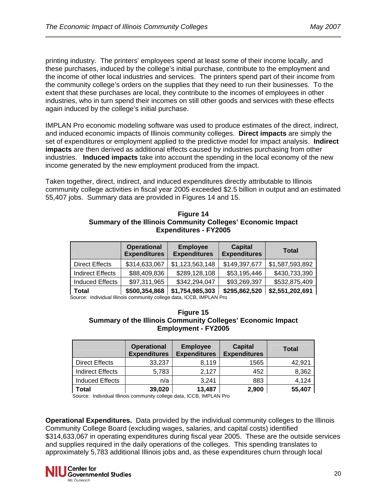printing industry. The printers' employees spend at least some of their income locally, and these purchases, induced by the college's initial purchase, contribute to the employment and the income of other local industries and services. The printers spend part of their income from the community college's orders on the supplies that they need to run their businesses. To the extent that these purchases are local, they contribute to the incomes of employees in other industries, who in turn spend their incomes on still other goods and services with these effects again induced by the college's initial purchase.

IMPLAN Pro economic modeling software was used to produce estimates of the direct, indirect, and induced economic impacts of Illinois community colleges. **Direct impacts** are simply the set of expenditures or employment applied to the predictive model for impact analysis. **Indirect impacts** are then derived as additional effects caused by industries purchasing from other industries. **Induced impacts** take into account the spending in the local economy of the new income generated by the new employment produced from the impact.

Taken together, direct, indirect, and induced expenditures directly attributable to Illinois community college activities in fiscal year 2005 exceeded \$2.5 billion in output and an estimated 55,407 jobs. Summary data are provided in Figures 14 and 15.

| <b>Figure 14</b>                                            |
|-------------------------------------------------------------|
| Summary of the Illinois Community Colleges' Economic Impact |
| <b>Expenditures - FY2005</b>                                |

|                         | <b>Operational</b><br><b>Expenditures</b> | <b>Employee</b><br><b>Expenditures</b> | <b>Capital</b><br><b>Expenditures</b> | <b>Total</b>    |
|-------------------------|-------------------------------------------|----------------------------------------|---------------------------------------|-----------------|
| <b>Direct Effects</b>   | \$314,633,067                             | \$1,123,563,148                        | \$149,397,677                         | \$1,587,593,892 |
| <b>Indirect Effects</b> | \$88,409,836                              | \$289,128,108                          | \$53,195,446                          | \$430,733,390   |
| <b>Induced Effects</b>  | \$97,311,965                              | \$342,294,047                          | \$93,269,397                          | \$532,875,409   |
| Total                   | \$500 354 868                             | \$1 754 985 303                        | \$295 862 520                         | \$2551202691    |

**Total \$500,354,868 \$1,754,985,303 \$295,862,520 \$2,551,202,691** Source: Individual Illinois community college data, ICCB, IMPLAN Pro

#### **Figure 15 Summary of the Illinois Community Colleges' Economic Impact Employment - FY2005**

|                         | <b>Operational</b><br><b>Expenditures</b> | <b>Employee</b><br><b>Expenditures</b> | <b>Capital</b><br><b>Expenditures</b> | <b>Total</b> |
|-------------------------|-------------------------------------------|----------------------------------------|---------------------------------------|--------------|
| <b>Direct Effects</b>   | 33,237                                    | 8,119                                  | 1565                                  | 42,921       |
| <b>Indirect Effects</b> | 5,783                                     | 2,127                                  | 452                                   | 8,362        |
| <b>Induced Effects</b>  | n/a                                       | 3,241                                  | 883                                   | 4,124        |
| <b>Total</b>            | 39,020                                    | 13,487                                 | 2,900                                 | 55,407       |

Source: Individual Illinois community college data, ICCB, IMPLAN Pro

**Operational Expenditures.** Data provided by the individual community colleges to the Illinois Community College Board (excluding wages, salaries, and capital costs) identified \$314,633,067 in operating expenditures during fiscal year 2005. These are the outside services and supplies required in the daily operations of the colleges. This spending translates to approximately 5,783 additional Illinois jobs and, as these expenditures churn through local

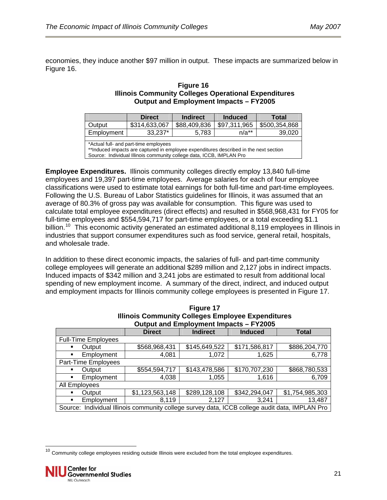economies, they induce another \$97 million in output. These impacts are summarized below in Figure 16.

#### **Figure 16 Illinois Community Colleges Operational Expenditures Output and Employment Impacts – FY2005**

|                                                                                                                                                                                                         | <b>Direct</b> | <b>Indirect</b> | <b>Induced</b> | Total         |  |
|---------------------------------------------------------------------------------------------------------------------------------------------------------------------------------------------------------|---------------|-----------------|----------------|---------------|--|
| Output                                                                                                                                                                                                  | \$314,633,067 | \$88,409,836    | \$97,311,965   | \$500,354,868 |  |
| Employment                                                                                                                                                                                              | 33,237*       | 5.783           | $n/a^{**}$     | 39,020        |  |
|                                                                                                                                                                                                         |               |                 |                |               |  |
| *Actual full- and part-time employees<br>** Induced impacts are captured in employee expenditures described in the next section<br>Source: Individual Illinois community college data, ICCB, IMPLAN Pro |               |                 |                |               |  |

**Employee Expenditures.** Illinois community colleges directly employ 13,840 full-time employees and 19,397 part-time employees. Average salaries for each of four employee classifications were used to estimate total earnings for both full-time and part-time employees. Following the U.S. Bureau of Labor Statistics guidelines for Illinois, it was assumed that an average of 80.3% of gross pay was available for consumption. This figure was used to calculate total employee expenditures (direct effects) and resulted in \$568,968,431 for FY05 for full-time employees and \$554,594,717 for part-time employees, or a total exceeding \$1.1 billion.<sup>[10](#page-20-0)</sup> This economic activity generated an estimated additional 8,119 employees in Illinois in industries that support consumer expenditures such as food service, general retail, hospitals, and wholesale trade.

In addition to these direct economic impacts, the salaries of full- and part-time community college employees will generate an additional \$289 million and 2,127 jobs in indirect impacts. Induced impacts of \$342 million and 3,241 jobs are estimated to result from additional local spending of new employment income. A summary of the direct, indirect, and induced output and employment impacts for Illinois community college employees is presented in Figure 17.

|                     | Illinois Community Colleges Employee Expenditures<br>Output and Employment Impacts - FY2005    |                 |                 |                |                 |  |
|---------------------|------------------------------------------------------------------------------------------------|-----------------|-----------------|----------------|-----------------|--|
|                     |                                                                                                |                 |                 |                |                 |  |
|                     |                                                                                                | <b>Direct</b>   | <b>Indirect</b> | <b>Induced</b> | <b>Total</b>    |  |
|                     | Full-Time Employees                                                                            |                 |                 |                |                 |  |
| $\blacksquare$      | Output                                                                                         | \$568,968,431   | \$145,649,522   | \$171,586,817  | \$886,204,770   |  |
| п                   | Employment                                                                                     | 4,081           | 1,072           | 1,625          | 6,778           |  |
| Part-Time Employees |                                                                                                |                 |                 |                |                 |  |
| ٠                   | Output                                                                                         | \$554,594,717   | \$143,478,586   | \$170,707,230  | \$868,780,533   |  |
| п                   | Employment                                                                                     | 4,038           | 1,055           | 1,616          | 6,709           |  |
|                     | All Employees                                                                                  |                 |                 |                |                 |  |
| п                   | Output                                                                                         | \$1,123,563,148 | \$289,128,108   | \$342,294,047  | \$1,754,985,303 |  |
| $\blacksquare$      | Employment                                                                                     | 8.119           | 2.127           | 3.241          | 13,487          |  |
|                     | Source: Individual Illinois community college survey data, ICCB college audit data, IMPLAN Pro |                 |                 |                |                 |  |

**Figure 17 Illinois Community Colleges Employee Expenditures** 

j

<span id="page-20-0"></span><sup>&</sup>lt;sup>10</sup> Community college employees residing outside Illinois were excluded from the total employee expenditures.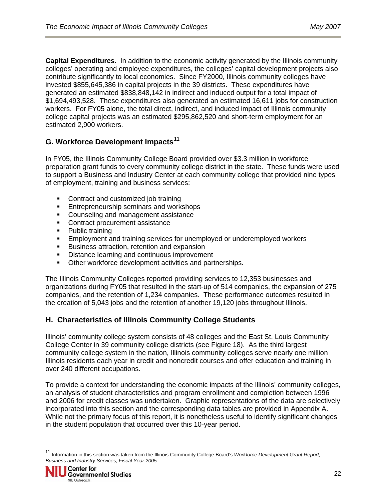**Capital Expenditures.** In addition to the economic activity generated by the Illinois community colleges' operating and employee expenditures, the colleges' capital development projects also contribute significantly to local economies. Since FY2000, Illinois community colleges have invested \$855,645,386 in capital projects in the 39 districts. These expenditures have generated an estimated \$838,848,142 in indirect and induced output for a total impact of \$1,694,493,528. These expenditures also generated an estimated 16,611 jobs for construction workers. For FY05 alone, the total direct, indirect, and induced impact of Illinois community college capital projects was an estimated \$295,862,520 and short-term employment for an estimated 2,900 workers.

## **G. Workforce Development Impacts[11](#page-21-0)**

In FY05, the Illinois Community College Board provided over \$3.3 million in workforce preparation grant funds to every community college district in the state. These funds were used to support a Business and Industry Center at each community college that provided nine types of employment, training and business services:

- Contract and customized job training
- **Entrepreneurship seminars and workshops**
- Counseling and management assistance
- Contract procurement assistance
- Public training
- Employment and training services for unemployed or underemployed workers
- **Business attraction, retention and expansion**
- **Distance learning and continuous improvement**
- **Other workforce development activities and partnerships.**

The Illinois Community Colleges reported providing services to 12,353 businesses and organizations during FY05 that resulted in the start-up of 514 companies, the expansion of 275 companies, and the retention of 1,234 companies. These performance outcomes resulted in the creation of 5,043 jobs and the retention of another 19,120 jobs throughout Illinois.

## **H. Characteristics of Illinois Community College Students**

Illinois' community college system consists of 48 colleges and the East St. Louis Community College Center in 39 community college districts (see Figure 18). As the third largest community college system in the nation, Illinois community colleges serve nearly one million Illinois residents each year in credit and noncredit courses and offer education and training in over 240 different occupations.

To provide a context for understanding the economic impacts of the Illinois' community colleges, an analysis of student characteristics and program enrollment and completion between 1996 and 2006 for credit classes was undertaken. Graphic representations of the data are selectively incorporated into this section and the corresponding data tables are provided in Appendix A. While not the primary focus of this report, it is nonetheless useful to identify significant changes in the student population that occurred over this 10-year period.

<span id="page-21-0"></span> $11$ <sup>11</sup> Information in this section was taken from the Illinois Community College Board's *Workforce Development Grant Report, Business and Industry Services, Fiscal Year 2005*.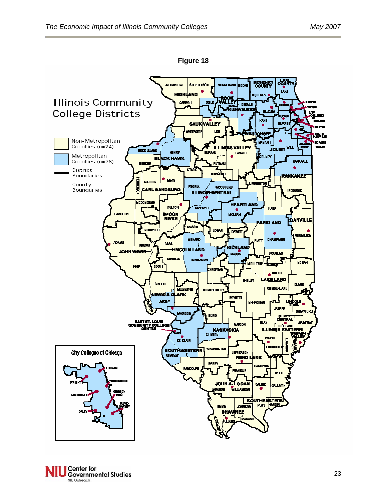**Figure 18** 



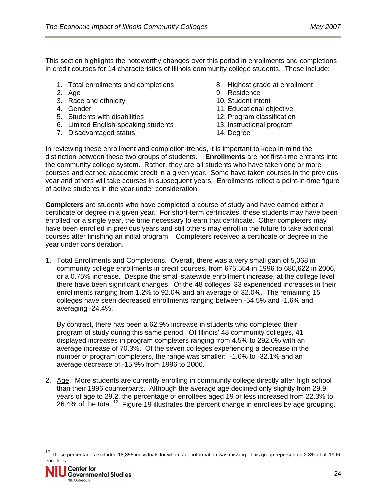This section highlights the noteworthy changes over this period in enrollments and completions in credit courses for 14 characteristics of Illinois community college students. These include:

- 1. Total enrollments and completions
- 2. Age
- 3. Race and ethnicity
- 4. Gender
- 5. Students with disabilities
- 6. Limited English-speaking students
- 7. Disadvantaged status
- 8. Highest grade at enrollment
- 9. Residence
- 10. Student intent
- 11. Educational objective
- 12. Program classification
- 13. Instructional program
- 14. Degree

In reviewing these enrollment and completion trends, it is important to keep in mind the distinction between these two groups of students. **Enrollments** are not first-time entrants into the community college system. Rather, they are all students who have taken one or more courses and earned academic credit in a given year. Some have taken courses in the previous year and others will take courses in subsequent years. Enrollments reflect a point-in-time figure of active students in the year under consideration.

**Completers** are students who have completed a course of study and have earned either a certificate or degree in a given year. For short-term certificates, these students may have been enrolled for a single year, the time necessary to earn that certificate. Other completers may have been enrolled in previous years and still others may enroll in the future to take additional courses after finishing an initial program. Completers received a certificate or degree in the year under consideration.

1. Total Enrollments and Completions. Overall, there was a very small gain of 5,068 in community college enrollments in credit courses, from 675,554 in 1996 to 680,622 in 2006, or a 0.75% increase. Despite this small statewide enrollment increase, at the college level there have been significant changes. Of the 48 colleges, 33 experienced increases in their enrollments ranging from 1.2% to 92.0% and an average of 32.0%. The remaining 15 colleges have seen decreased enrollments ranging between -54.5% and -1.6% and averaging -24.4%.

By contrast, there has been a 62.9% increase in students who completed their program of study during this same period. Of Illinois' 48 community colleges, 41 displayed increases in program completers ranging from 4.5% to 292.0% with an average increase of 70.3%. Of the seven colleges experiencing a decrease in the number of program completers, the range was smaller: -1.6% to -32.1% and an average decrease of -15.9% from 1996 to 2006.

2. Age. More students are currently enrolling in community college directly after high school than their 1996 counterparts. Although the average age declined only slightly from 29.9 years of age to 29.2, the percentage of enrollees aged 19 or less increased from 22.3% to 26.4% of the total.<sup>[12](#page-23-0)</sup> Figure 19 illustrates the percent change in enrollees by age grouping.

<span id="page-23-0"></span> $12$  These percentages excluded 18,856 individuals for whom age information was missing. This group represented 2.8% of all 1996 enrollees.

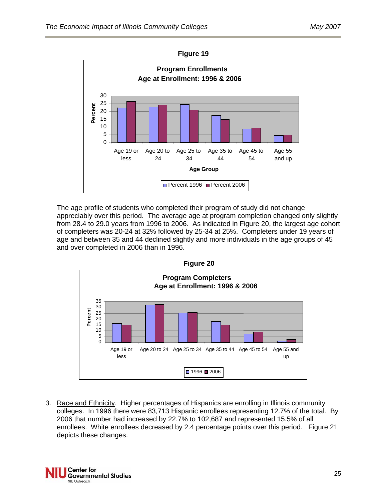

The age profile of students who completed their program of study did not change appreciably over this period. The average age at program completion changed only slightly from 28.4 to 29.0 years from 1996 to 2006. As indicated in Figure 20, the largest age cohort of completers was 20-24 at 32% followed by 25-34 at 25%. Completers under 19 years of age and between 35 and 44 declined slightly and more individuals in the age groups of 45 and over completed in 2006 than in 1996.



3. Race and Ethnicity. Higher percentages of Hispanics are enrolling in Illinois community colleges. In 1996 there were 83,713 Hispanic enrollees representing 12.7% of the total. By 2006 that number had increased by 22.7% to 102,687 and represented 15.5% of all enrollees. White enrollees decreased by 2.4 percentage points over this period. Figure 21 depicts these changes.

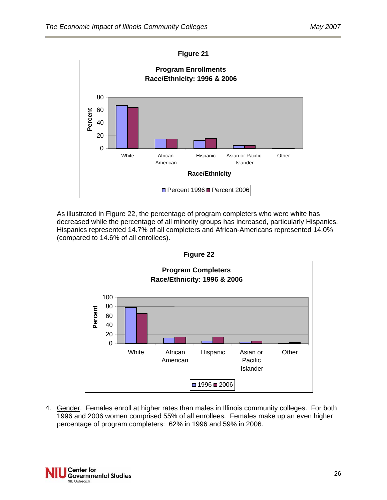



As illustrated in Figure 22, the percentage of program completers who were white has decreased while the percentage of all minority groups has increased, particularly Hispanics. Hispanics represented 14.7% of all completers and African-Americans represented 14.0% (compared to 14.6% of all enrollees).



4. Gender. Females enroll at higher rates than males in Illinois community colleges. For both 1996 and 2006 women comprised 55% of all enrollees. Females make up an even higher percentage of program completers: 62% in 1996 and 59% in 2006.

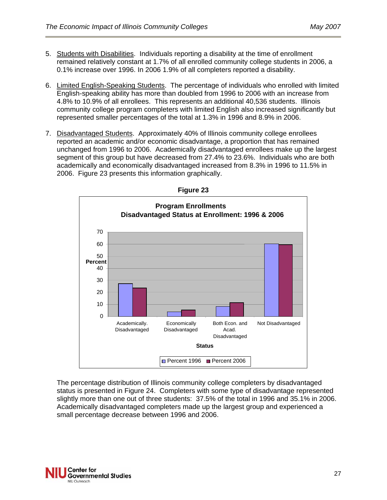- 5. Students with Disabilities. Individuals reporting a disability at the time of enrollment remained relatively constant at 1.7% of all enrolled community college students in 2006, a 0.1% increase over 1996. In 2006 1.9% of all completers reported a disability.
- 6. Limited English-Speaking Students. The percentage of individuals who enrolled with limited English-speaking ability has more than doubled from 1996 to 2006 with an increase from 4.8% to 10.9% of all enrollees. This represents an additional 40,536 students. Illinois community college program completers with limited English also increased significantly but represented smaller percentages of the total at 1.3% in 1996 and 8.9% in 2006.
- 7. Disadvantaged Students. Approximately 40% of Illinois community college enrollees reported an academic and/or economic disadvantage, a proportion that has remained unchanged from 1996 to 2006. Academically disadvantaged enrollees make up the largest segment of this group but have decreased from 27.4% to 23.6%. Individuals who are both academically and economically disadvantaged increased from 8.3% in 1996 to 11.5% in 2006. Figure 23 presents this information graphically.





 The percentage distribution of Illinois community college completers by disadvantaged status is presented in Figure 24. Completers with some type of disadvantage represented slightly more than one out of three students: 37.5% of the total in 1996 and 35.1% in 2006. Academically disadvantaged completers made up the largest group and experienced a small percentage decrease between 1996 and 2006.

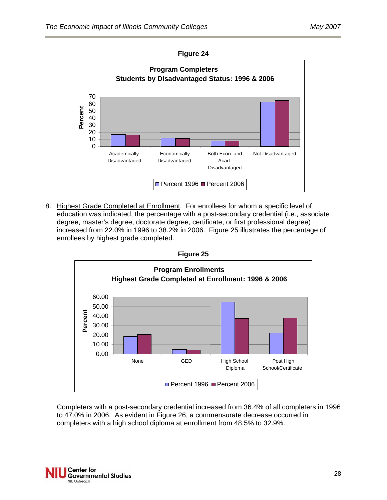



8. Highest Grade Completed at Enrollment. For enrollees for whom a specific level of education was indicated, the percentage with a post-secondary credential (i.e., associate degree, master's degree, doctorate degree, certificate, or first professional degree) increased from 22.0% in 1996 to 38.2% in 2006. Figure 25 illustrates the percentage of enrollees by highest grade completed.



Completers with a post-secondary credential increased from 36.4% of all completers in 1996 to 47.0% in 2006. As evident in Figure 26, a commensurate decrease occurred in completers with a high school diploma at enrollment from 48.5% to 32.9%.

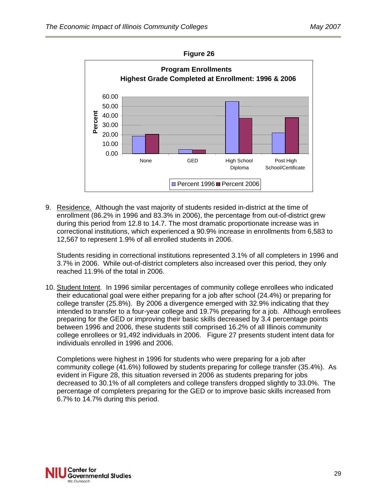

**Figure 26** 

9. Residence. Although the vast majority of students resided in-district at the time of enrollment (86.2% in 1996 and 83.3% in 2006), the percentage from out-of-district grew during this period from 12.8 to 14.7. The most dramatic proportionate increase was in correctional institutions, which experienced a 90.9% increase in enrollments from 6,583 to 12,567 to represent 1.9% of all enrolled students in 2006.

Students residing in correctional institutions represented 3.1% of all completers in 1996 and 3.7% in 2006. While out-of-district completers also increased over this period, they only reached 11.9% of the total in 2006.

10. Student Intent. In 1996 similar percentages of community college enrollees who indicated their educational goal were either preparing for a job after school (24.4%) or preparing for college transfer (25.8%). By 2006 a divergence emerged with 32.9% indicating that they intended to transfer to a four-year college and 19.7% preparing for a job. Although enrollees preparing for the GED or improving their basic skills decreased by 3.4 percentage points between 1996 and 2006, these students still comprised 16.2% of all Illinois community college enrollees or 91,492 individuals in 2006. Figure 27 presents student intent data for individuals enrolled in 1996 and 2006.

Completions were highest in 1996 for students who were preparing for a job after community college (41.6%) followed by students preparing for college transfer (35.4%). As evident in Figure 28, this situation reversed in 2006 as students preparing for jobs decreased to 30.1% of all completers and college transfers dropped slightly to 33.0%. The percentage of completers preparing for the GED or to improve basic skills increased from 6.7% to 14.7% during this period.

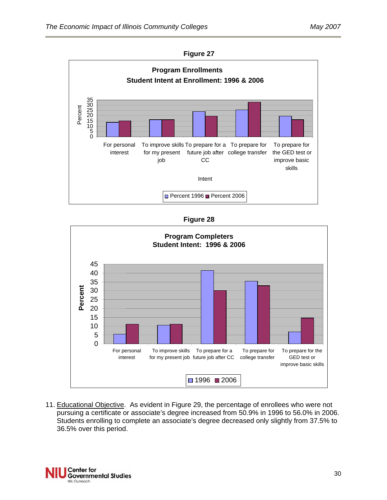

| Fiaure |  |
|--------|--|
|--------|--|



11. Educational Objective. As evident in Figure 29, the percentage of enrollees who were not pursuing a certificate or associate's degree increased from 50.9% in 1996 to 56.0% in 2006. Students enrolling to complete an associate's degree decreased only slightly from 37.5% to 36.5% over this period.

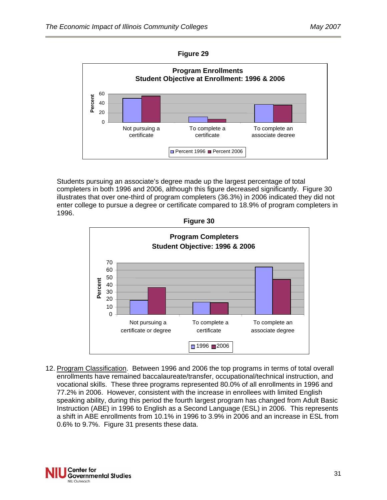



Students pursuing an associate's degree made up the largest percentage of total completers in both 1996 and 2006, although this figure decreased significantly. Figure 30 illustrates that over one-third of program completers (36.3%) in 2006 indicated they did not enter college to pursue a degree or certificate compared to 18.9% of program completers in 1996.



12. Program Classification. Between 1996 and 2006 the top programs in terms of total overall enrollments have remained baccalaureate/transfer, occupational/technical instruction, and vocational skills. These three programs represented 80.0% of all enrollments in 1996 and 77.2% in 2006. However, consistent with the increase in enrollees with limited English speaking ability, during this period the fourth largest program has changed from Adult Basic Instruction (ABE) in 1996 to English as a Second Language (ESL) in 2006. This represents a shift in ABE enrollments from 10.1% in 1996 to 3.9% in 2006 and an increase in ESL from 0.6% to 9.7%. Figure 31 presents these data.

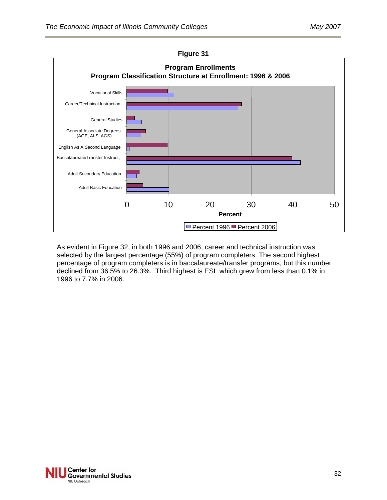

As evident in Figure 32, in both 1996 and 2006, career and technical instruction was selected by the largest percentage (55%) of program completers. The second highest percentage of program completers is in baccalaureate/transfer programs, but this number declined from 36.5% to 26.3%. Third highest is ESL which grew from less than 0.1% in 1996 to 7.7% in 2006.

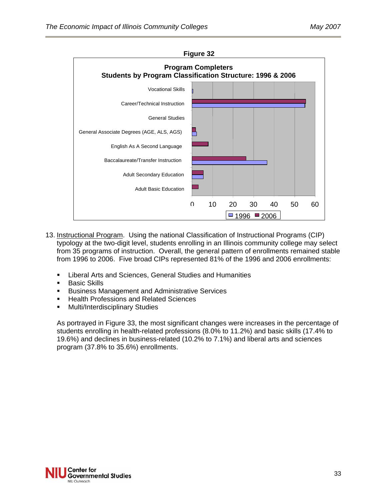

- 13. Instructional Program. Using the national Classification of Instructional Programs (CIP) typology at the two-digit level, students enrolling in an Illinois community college may select from 35 programs of instruction. Overall, the general pattern of enrollments remained stable from 1996 to 2006. Five broad CIPs represented 81% of the 1996 and 2006 enrollments:
	- Liberal Arts and Sciences, General Studies and Humanities
	- **Basic Skills**
	- **Business Management and Administrative Services**
	- **Health Professions and Related Sciences**
	- **Multi/Interdisciplinary Studies**

As portrayed in Figure 33, the most significant changes were increases in the percentage of students enrolling in health-related professions (8.0% to 11.2%) and basic skills (17.4% to 19.6%) and declines in business-related (10.2% to 7.1%) and liberal arts and sciences program (37.8% to 35.6%) enrollments.

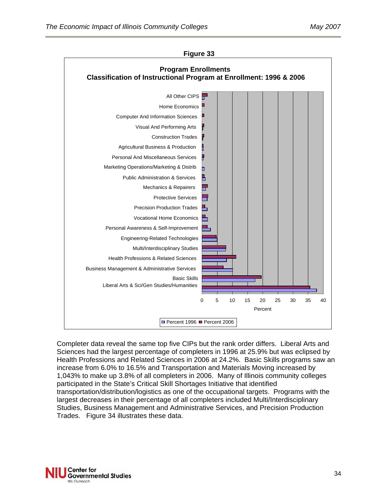

**Figure 33**

Completer data reveal the same top five CIPs but the rank order differs. Liberal Arts and Sciences had the largest percentage of completers in 1996 at 25.9% but was eclipsed by Health Professions and Related Sciences in 2006 at 24.2%. Basic Skills programs saw an increase from 6.0% to 16.5% and Transportation and Materials Moving increased by 1,043% to make up 3.8% of all completers in 2006. Many of Illinois community colleges participated in the State's Critical Skill Shortages Initiative that identified transportation/distribution/logistics as one of the occupational targets. Programs with the largest decreases in their percentage of all completers included Multi/Interdisciplinary Studies, Business Management and Administrative Services, and Precision Production Trades. Figure 34 illustrates these data.

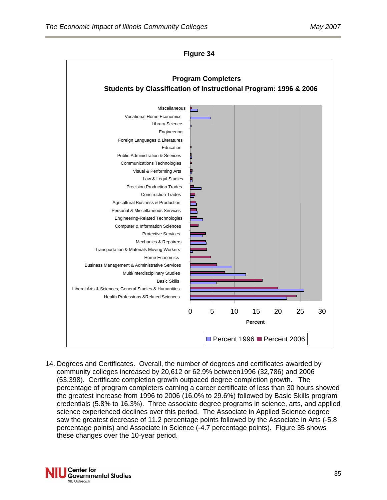

**Figure 34** 

14. Degrees and Certificates. Overall, the number of degrees and certificates awarded by community colleges increased by 20,612 or 62.9% between1996 (32,786) and 2006 (53,398). Certificate completion growth outpaced degree completion growth. The percentage of program completers earning a career certificate of less than 30 hours showed the greatest increase from 1996 to 2006 (16.0% to 29.6%) followed by Basic Skills program credentials (5.8% to 16.3%). Three associate degree programs in science, arts, and applied science experienced declines over this period. The Associate in Applied Science degree saw the greatest decrease of 11.2 percentage points followed by the Associate in Arts (-5.8 percentage points) and Associate in Science (-4.7 percentage points). Figure 35 shows these changes over the 10-year period.

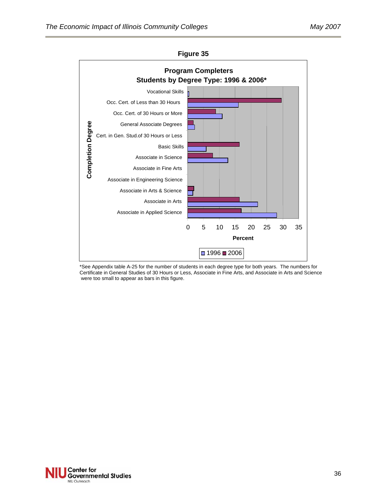



\*See Appendix table A-25 for the number of students in each degree type for both years. The numbers for Certificate in General Studies of 30 Hours or Less, Associate in Fine Arts, and Associate in Arts and Science were too small to appear as bars in this figure.

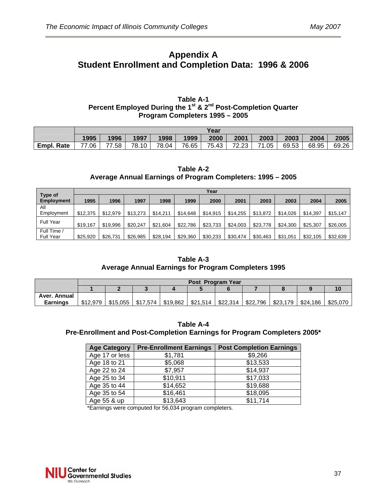## **Appendix A Student Enrollment and Completion Data: 1996 & 2006**

#### **Table A-1 Percent Employed During the 1st & 2nd Post-Completion Quarter Program Completers 1995 – 2005**

|                   | Year  |       |       |       |       |       |       |       |       |       |       |
|-------------------|-------|-------|-------|-------|-------|-------|-------|-------|-------|-------|-------|
|                   | 1995  | 1996  | 1997  | 1998  | 1999  | 2000  | 2001  | 2003  | 2003  | 2004  | 2005  |
| <b>Empl. Rate</b> | 77.06 | 77.58 | 78.10 | 78.04 | 76.65 | 75.43 | 72.23 | 71.05 | 69.53 | 68.95 | 69.26 |

#### **Table A-2 Average Annual Earnings of Program Completers: 1995 – 2005**

|                              |          | Year     |          |          |          |          |          |          |          |          |          |  |
|------------------------------|----------|----------|----------|----------|----------|----------|----------|----------|----------|----------|----------|--|
| Type of<br><b>Employment</b> | 1995     | 1996     | 1997     | 1998     | 1999     | 2000     | 2001     | 2003     | 2003     | 2004     | 2005     |  |
| All                          |          |          |          |          |          |          |          |          |          |          |          |  |
| Employment                   | \$12,375 | \$12.979 | \$13,273 | \$14.211 | \$14,648 | \$14,915 | \$14,255 | \$13,872 | \$14.026 | \$14,397 | \$15,147 |  |
| Full Year                    | \$19,167 | \$19,996 | \$20,247 | \$21,604 | \$22,786 | \$23,733 | \$24,003 | \$23,778 | \$24,300 | \$25,307 | \$26,005 |  |
| Full Time /                  |          |          |          |          |          |          |          |          |          |          |          |  |
| <b>Full Year</b>             | \$25,920 | \$26,731 | \$26,985 | \$28,194 | \$29,360 | \$30,233 | \$30,474 | \$30,463 | \$31,051 | \$32,105 | \$32,639 |  |

#### **Table A-3 Average Annual Earnings for Program Completers 1995**

|                 | Post Program Year |          |          |          |  |                      |          |          |          |          |  |
|-----------------|-------------------|----------|----------|----------|--|----------------------|----------|----------|----------|----------|--|
|                 |                   |          |          |          |  |                      |          |          |          |          |  |
| Aver. Annual    |                   |          |          |          |  |                      |          |          |          |          |  |
| <b>Earnings</b> | \$12,979          | \$15.055 | \$17.574 | \$19.862 |  | $$21,514$   \$22,314 | \$22.796 | \$23,179 | \$24.186 | \$25,070 |  |

#### **Table A-4 Pre-Enrollment and Post-Completion Earnings for Program Completers 2005\***

| <b>Age Category</b> | <b>Pre-Enrollment Earnings</b> | <b>Post Completion Earnings</b> |
|---------------------|--------------------------------|---------------------------------|
| Age 17 or less      | \$1,781                        | \$9,266                         |
| Age 18 to 21        | \$5,068                        | \$13,533                        |
| Age 22 to 24        | \$7,957                        | \$14,937                        |
| Age 25 to 34        | \$10,911                       | \$17,033                        |
| Age 35 to 44        | \$14,652                       | \$19,688                        |
| Age 35 to 54        | \$16,461                       | \$18,095                        |
| Age 55 & up         | \$13,643                       | \$11,714                        |

\*Earnings were computed for 56,034 program completers.

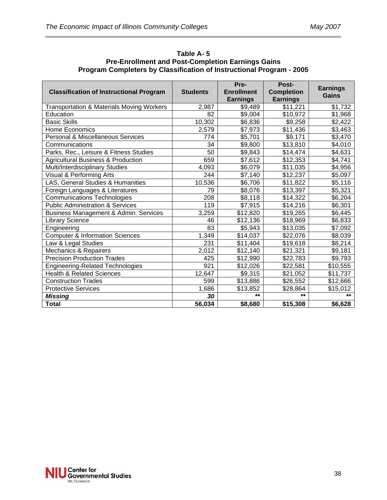| <b>Classification of Instructional Program</b>       | <b>Students</b> | Pre-<br><b>Enrollment</b> | Post-<br><b>Completion</b> | <b>Earnings</b><br>Gains |
|------------------------------------------------------|-----------------|---------------------------|----------------------------|--------------------------|
|                                                      |                 | <b>Earnings</b>           | <b>Earnings</b>            |                          |
| <b>Transportation &amp; Materials Moving Workers</b> | 2,987           | \$9,489                   | $\overline{$}11,221$       | \$1,732                  |
| Education                                            | 82              | \$9,004                   | \$10,972                   | \$1,968                  |
| <b>Basic Skills</b>                                  | 10,302          | \$6,836                   | \$9,258                    | \$2,422                  |
| <b>Home Economics</b>                                | 2,579           | \$7,973                   | \$11,436                   | \$3,463                  |
| Personal & Miscellaneous Services                    | 774             | \$5,701                   | \$9,171                    | \$3,470                  |
| Communications                                       | 34              | \$9,800                   | \$13,810                   | \$4,010                  |
| Parks, Rec., Leisure & Fitness Studies               | $\overline{50}$ | \$9,843                   | \$14,474                   | \$4,631                  |
| <b>Agricultural Business &amp; Production</b>        | 659             | \$7,612                   | \$12,353                   | \$4,741                  |
| Multi/Interdisciplinary Studies                      | 4,093           | \$6,079                   | \$11,035                   | \$4,956                  |
| Visual & Performing Arts                             | 244             | \$7,140                   | \$12,237                   | \$5,097                  |
| LAS, General Studies & Humanities                    | 10,536          | \$6,706                   | \$11,822                   | \$5,116                  |
| Foreign Languages & Literatures                      | 79              | \$8,076                   | \$13,397                   | \$5,321                  |
| <b>Communications Technologies</b>                   | 208             | \$8,118                   | \$14,322                   | \$6,204                  |
| <b>Public Administration &amp; Services</b>          | 119             | \$7,915                   | \$14,216                   | \$6,301                  |
| Business Management & Admin. Services                | 3,259           | \$12,820                  | \$19,265                   | \$6,445                  |
| <b>Library Science</b>                               | 46              | \$12,136                  | \$18,969                   | \$6,833                  |
| Engineering                                          | 83              | \$5,943                   | \$13,035                   | \$7,092                  |
| <b>Computer &amp; Information Sciences</b>           | 1,349           | \$14,037                  | \$22,076                   | \$8,039                  |
| Law & Legal Studies                                  | 231             | \$11,404                  | \$19,618                   | \$8,214                  |
| Mechanics & Repairers                                | 2,012           | \$12,140                  | \$21,321                   | \$9,181                  |
| <b>Precision Production Trades</b>                   | 425             | \$12,990                  | \$22,783                   | \$9,793                  |
| <b>Engineering-Related Technologies</b>              | 921             | \$12,026                  | \$22,581                   | \$10,555                 |
| <b>Health &amp; Related Sciences</b>                 | 12,647          | \$9,315                   | \$21,052                   | \$11,737                 |
| <b>Construction Trades</b>                           | 599             | \$13,886                  | \$26,552                   | \$12,666                 |
| <b>Protective Services</b>                           | 1,686           | \$13,852                  | \$28,864                   | \$15,012                 |
| <b>Missing</b>                                       | 30              | $**$                      | $***$                      | $***$                    |
| <b>Total</b>                                         | 56,034          | \$8,680                   | \$15,308                   | \$6,628                  |

**Table A- 5 Pre-Enrollment and Post-Completion Earnings Gains Program Completers by Classification of Instructional Program - 2005** 

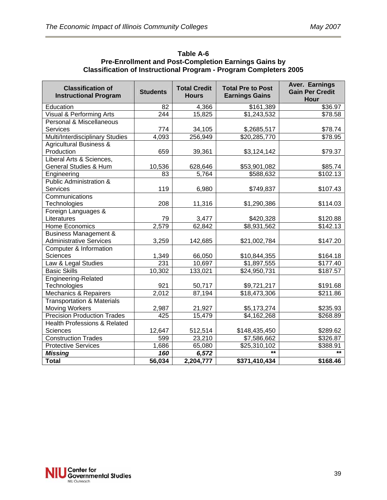| Table A-6                                                                |
|--------------------------------------------------------------------------|
| <b>Pre-Enrollment and Post-Completion Earnings Gains by</b>              |
| <b>Classification of Instructional Program - Program Completers 2005</b> |

| <b>Classification of</b><br><b>Instructional Program</b> | <b>Students</b>  | <b>Total Credit</b><br><b>Hours</b> | <b>Total Pre to Post</b><br><b>Earnings Gains</b> | Aver. Earnings<br><b>Gain Per Credit</b> |
|----------------------------------------------------------|------------------|-------------------------------------|---------------------------------------------------|------------------------------------------|
|                                                          |                  |                                     |                                                   | Hour                                     |
| Education                                                | 82               | 4,366                               | \$161,389                                         | \$36.97                                  |
| <b>Visual &amp; Performing Arts</b>                      | $\overline{244}$ | 15,825                              | $\overline{1,243,532}$                            | \$78.58                                  |
| Personal & Miscellaneous                                 |                  |                                     |                                                   |                                          |
| <b>Services</b>                                          | 774              | 34,105                              | \$,2685,517                                       | \$78.74                                  |
| Multi/Interdisciplinary Studies                          | 4,093            | 256,949                             | \$20,285,770                                      | \$78.95                                  |
| <b>Agricultural Business &amp;</b>                       |                  |                                     |                                                   |                                          |
| Production                                               | 659              | 39,361                              | \$3,124,142                                       | \$79.37                                  |
| Liberal Arts & Sciences,                                 |                  |                                     |                                                   |                                          |
| <b>General Studies &amp; Hum</b>                         | 10,536           | 628,646                             | \$53,901,082                                      | \$85.74                                  |
| Engineering                                              | 83               | 5,764                               | \$588,632                                         | \$102.13                                 |
| <b>Public Administration &amp;</b>                       |                  |                                     |                                                   |                                          |
| <b>Services</b>                                          | 119              | 6,980                               | \$749,837                                         | \$107.43                                 |
| Communications                                           |                  |                                     |                                                   |                                          |
| Technologies                                             | 208              | 11,316                              | \$1,290,386                                       | \$114.03                                 |
| Foreign Languages &                                      |                  |                                     |                                                   |                                          |
| Literatures                                              | 79               | 3,477                               | \$420,328                                         | \$120.88                                 |
| Home Economics                                           | 2,579            | 62,842                              | $\overline{$8,931,562}$                           | $\overline{$}142.13$                     |
| <b>Business Management &amp;</b>                         |                  |                                     |                                                   |                                          |
| <b>Administrative Services</b>                           | 3,259            | 142,685                             | \$21,002,784                                      | \$147.20                                 |
| Computer & Information                                   |                  |                                     |                                                   |                                          |
| <b>Sciences</b>                                          | 1,349            | 66,050                              | \$10,844,355                                      | \$164.18                                 |
| Law & Legal Studies                                      | 231              | 10,697                              | \$1,897,555                                       | \$177.40                                 |
| <b>Basic Skills</b>                                      | 10,302           | 133,021                             | \$24,950,731                                      | \$187.57                                 |
| Engineering-Related                                      |                  |                                     |                                                   |                                          |
| Technologies                                             | 921              | 50,717                              | \$9,721,217                                       | \$191.68                                 |
| Mechanics & Repairers                                    | 2,012            | 87,194                              | \$18,473,306                                      | \$211.86                                 |
| <b>Transportation &amp; Materials</b>                    |                  |                                     |                                                   |                                          |
| <b>Moving Workers</b>                                    | 2,987            | 21,927                              | \$5,173,274                                       | \$235.93                                 |
| <b>Precision Production Trades</b>                       | 425              | 15,479                              | \$4,162,268                                       | 3268.89                                  |
| <b>Health Professions &amp; Related</b>                  |                  |                                     |                                                   |                                          |
| Sciences                                                 | 12,647           | 512,514                             | \$148,435,450                                     | \$289.62                                 |
| <b>Construction Trades</b>                               | 599              | 23,210                              | \$7,586,662                                       | \$326.87                                 |
| <b>Protective Services</b>                               | 1,686            | 65,080                              | \$25,310,102                                      | \$388.91                                 |
| <b>Missing</b>                                           | 160              | 6,572                               | $***$                                             | $**$                                     |
| <b>Total</b>                                             | 56,034           | 2,204,777                           | \$371,410,434                                     | \$168.46                                 |

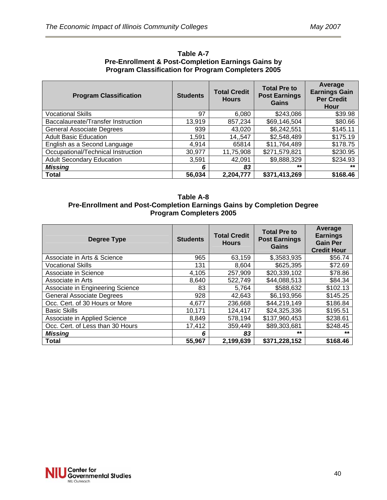| <b>Program Classification</b>      | <b>Students</b> | <b>Total Credit</b><br><b>Hours</b> | <b>Total Pre to</b><br><b>Post Earnings</b><br><b>Gains</b> | Average<br><b>Earnings Gain</b><br><b>Per Credit</b><br>Hour |
|------------------------------------|-----------------|-------------------------------------|-------------------------------------------------------------|--------------------------------------------------------------|
| <b>Vocational Skills</b>           | 97              | 6,080                               | \$243,086                                                   | \$39.98                                                      |
| Baccalaureate/Transfer Instruction | 13,919          | 857,234                             | \$69,146,504                                                | \$80.66                                                      |
| <b>General Associate Degrees</b>   | 939             | 43,020                              | \$6,242,551                                                 | \$145.11                                                     |
| <b>Adult Basic Education</b>       | 1,591           | 14,,547                             | \$2,548,489                                                 | \$175.19                                                     |
| English as a Second Language       | 4,914           | 65814                               | \$11,764,489                                                | \$178.75                                                     |
| Occupational/Technical Instruction | 30,977          | 11,75,908                           | \$271,579,821                                               | \$230.95                                                     |
| <b>Adult Secondary Education</b>   | 3,591           | 42,091                              | \$9,888,329                                                 | \$234.93                                                     |
| <b>Missing</b>                     | 6               | 83                                  | $***$                                                       | $**$                                                         |
| <b>Total</b>                       | 56,034          | 2,204,777                           | \$371,413,269                                               | \$168.46                                                     |

**Table A-7 Pre-Enrollment & Post-Completion Earnings Gains by Program Classification for Program Completers 2005** 

#### **Table A-8 Pre-Enrollment and Post-Completion Earnings Gains by Completion Degree Program Completers 2005**

| Degree Type                      | <b>Students</b> | <b>Total Credit</b><br><b>Hours</b> | <b>Total Pre to</b><br><b>Post Earnings</b><br>Gains | Average<br><b>Earnings</b><br><b>Gain Per</b><br><b>Credit Hour</b> |
|----------------------------------|-----------------|-------------------------------------|------------------------------------------------------|---------------------------------------------------------------------|
| Associate in Arts & Science      | 965             | 63,159                              | \$,3583,935                                          | \$56.74                                                             |
| <b>Vocational Skills</b>         | 131             | 8,604                               | \$625,395                                            | \$72.69                                                             |
| Associate in Science             | 4,105           | 257,909                             | \$20,339,102                                         | \$78.86                                                             |
| Associate in Arts                | 8,640           | 522,749                             | \$44,088,513                                         | \$84.34                                                             |
| Associate in Engineering Science | 83              | 5.764                               | \$588,632                                            | \$102.13                                                            |
| <b>General Associate Degrees</b> | 928             | 42,643                              | \$6,193,956                                          | \$145.25                                                            |
| Occ. Cert. of 30 Hours or More   | 4,677           | 236,668                             | \$44,219,149                                         | \$186.84                                                            |
| <b>Basic Skills</b>              | 10,171          | 124,417                             | \$24,325,336                                         | \$195.51                                                            |
| Associate in Applied Science     | 8,849           | 578,194                             | \$137,960,453                                        | \$238.61                                                            |
| Occ. Cert. of Less than 30 Hours | 17,412          | 359,449                             | \$89,303,681                                         | \$248.45                                                            |
| <b>Missing</b>                   | 6               | 83                                  | $***$                                                | $***$                                                               |
| <b>Total</b>                     | 55,967          | 2,199,639                           | \$371,228,152                                        | \$168.46                                                            |

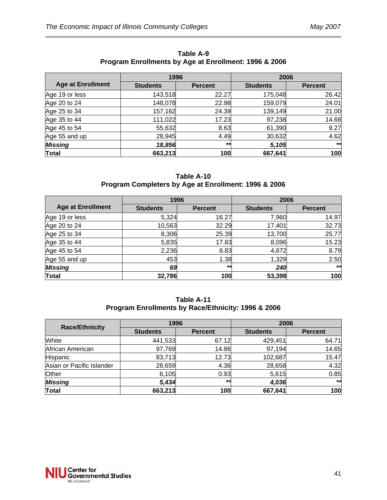|                          | 1996            |                | 2006            |                |  |
|--------------------------|-----------------|----------------|-----------------|----------------|--|
| <b>Age at Enrollment</b> | <b>Students</b> | <b>Percent</b> | <b>Students</b> | <b>Percent</b> |  |
| Age 19 or less           | 143,518         | 22.27          | 175,048         | 26.42          |  |
| Age 20 to 24             | 148,078         | 22.98          | 159,079         | 24.01          |  |
| Age 25 to 34             | 157,162         | 24.39          | 139,149         | 21.00          |  |
| Age 35 to 44             | 111,022         | 17.23          | 97,238          | 14.68          |  |
| Age 45 to 54             | 55,632          | 8.63           | 61,390          | 9.27           |  |
| Age 55 and up            | 28,945          | 4.49           | 30,632          | 4.62           |  |
| <b>Missing</b>           | 18,856          | $***$          | 5,105           | $**$           |  |
| <b>Total</b>             | 663,213         | 100            | 667,641         | 100            |  |

**Table A-9 Program Enrollments by Age at Enrollment: 1996 & 2006** 

#### **Table A-10 Program Completers by Age at Enrollment: 1996 & 2006**

|                          | 1996            |                | 2006            |                |
|--------------------------|-----------------|----------------|-----------------|----------------|
| <b>Age at Enrollment</b> | <b>Students</b> | <b>Percent</b> | <b>Students</b> | <b>Percent</b> |
| Age 19 or less           | 5,324           | 16.27          | 7,960           | 14.97          |
| Age 20 to 24             | 10,563          | 32.29          | 17,401          | 32.73          |
| Age 25 to 34             | 8,306           | 25.39          | 13,700          | 25.77          |
| Age 35 to 44             | 5,835           | 17.83          | 8,096           | 15.23          |
| Age 45 to 54             | 2,236           | 6.83           | 4,672           | 8.79           |
| Age 55 and up            | 453             | 1.38           | 1,329           | 2.50           |
| <b>Missing</b>           | 69              | $***$          | 240             | $**$           |
| <b>Total</b>             | 32,786          | 100            | 53,398          | 100            |

|                                                    | Table A-11 |  |
|----------------------------------------------------|------------|--|
| Program Enrollments by Race/Ethnicity: 1996 & 2006 |            |  |

| <b>Race/Ethnicity</b>     | 1996            |                | 2006            |                |  |
|---------------------------|-----------------|----------------|-----------------|----------------|--|
|                           | <b>Students</b> | <b>Percent</b> | <b>Students</b> | <b>Percent</b> |  |
| White                     | 441,533         | 67.12          | 429,451         | 64.71          |  |
| African American          | 97,769          | 14.86          | 97,194          | 14.65          |  |
| Hispanic                  | 83,713          | 12.73          | 102,687         | 15.47          |  |
| Asian or Pacific Islander | 28,659          | 4.36           | 28,658          | 4.32           |  |
| Other                     | 6,105           | 0.93           | 5,615           | 0.85           |  |
| <b>Missing</b>            | 5,434           | $***$          | 4,036           | **             |  |
| <b>Total</b>              | 663,213         | 100            | 667,641         | 100            |  |

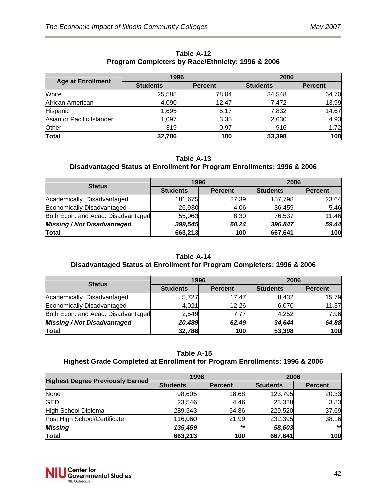| <b>Age at Enrollment</b>  | 1996            |                | 2006            |                |  |
|---------------------------|-----------------|----------------|-----------------|----------------|--|
|                           | <b>Students</b> | <b>Percent</b> | <b>Students</b> | <b>Percent</b> |  |
| White                     | 25,585          | 78.04          | 34,548          | 64.70          |  |
| African American          | 4,090           | 12.47          | 7,472           | 13.99          |  |
| <b>Hispanic</b>           | 1,695           | 5.17           | 7,832           | 14.67          |  |
| Asian or Pacific Islander | 1,097           | 3.35           | 2,630           | 4.93           |  |
| Other                     | 319             | 0.97           | 916             | 1.72           |  |
| <b>Total</b>              | 32,786          | 100            | 53,398          | 100            |  |

#### **Table A-12 Program Completers by Race/Ethnicity: 1996 & 2006**

#### **Table A-13**

### **Disadvantaged Status at Enrollment for Program Enrollments: 1996 & 2006**

| <b>Status</b>                      | 1996            |                | 2006            |                |  |
|------------------------------------|-----------------|----------------|-----------------|----------------|--|
|                                    | <b>Students</b> | <b>Percent</b> | <b>Students</b> | <b>Percent</b> |  |
| Academically. Disadvantaged        | 181,675         | 27.39          | 157,798         | 23.64          |  |
| Economically Disadvantaged         | 26,930          | 4.06           | 36,459          | 5.46           |  |
| Both Econ. and Acad. Disadvantaged | 55,063          | 8.30           | 76,537          | 11.46          |  |
| <b>Missing / Not Disadvantaged</b> | 399,545         | 60.24          | 396,847         | 59.44          |  |
| <b>Total</b>                       | 663,213         | 100            | 667,641         | 100            |  |

### **Table A-14**

## **Disadvantaged Status at Enrollment for Program Completers: 1996 & 2006**

| <b>Status</b>                      | 1996            |                | 2006            |                |  |
|------------------------------------|-----------------|----------------|-----------------|----------------|--|
|                                    | <b>Students</b> | <b>Percent</b> | <b>Students</b> | <b>Percent</b> |  |
| Academically. Disadvantaged        | 5,727           | 17.47          | 8,432           | 15.79          |  |
| Economically Disadvantaged         | 4,021           | 12.26          | 6,070           | 11.37          |  |
| Both Econ. and Acad. Disadvantaged | 2,549           | 7.77           | 4,252           | 7.96           |  |
| <b>Missing / Not Disadvantaged</b> | 20,489          | 62.49          | 34,644          | 64.88          |  |
| <b>Total</b>                       | 32,786          | 100            | 53,398          | 100            |  |

#### **Table A-15 Highest Grade Completed at Enrollment for Program Enrollments: 1996 & 2006**

|                                          | 1996            |                | 2006            |                |  |
|------------------------------------------|-----------------|----------------|-----------------|----------------|--|
| <b>Highest Degree Previously Earned-</b> | <b>Students</b> | <b>Percent</b> | <b>Students</b> | <b>Percent</b> |  |
| None                                     | 98,605          | 18.68          | 123,795         | 20.33          |  |
| <b>GED</b>                               | 23,546          | 4.46           | 23,328          | 3.83           |  |
| High School Diploma                      | 289,543         | 54.86          | 229,520         | 37.69          |  |
| Post High School/Certificate             | 116,060         | 21.99          | 232,395         | 38.16          |  |
| <b>Missing</b>                           | 135,459         | **             | 58,603          | **             |  |
| <b>Total</b>                             | 663,213         | 100            | 667,641         | 100            |  |

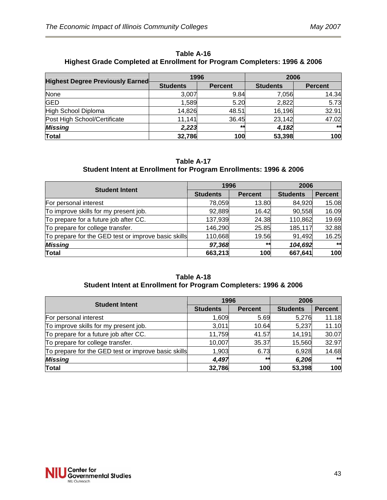| Table A-16                                                                |
|---------------------------------------------------------------------------|
| Highest Grade Completed at Enrollment for Program Completers: 1996 & 2006 |

| <b>Highest Degree Previously Earned</b> | 1996            |                | 2006            |                |  |
|-----------------------------------------|-----------------|----------------|-----------------|----------------|--|
|                                         | <b>Students</b> | <b>Percent</b> | <b>Students</b> | <b>Percent</b> |  |
| None                                    | 3,007           | 9.84           | 7,056           | 14.34          |  |
| <b>GED</b>                              | 1,589           | 5.20           | 2,822           | 5.73           |  |
| High School Diploma                     | 14,826          | 48.51          | 16,196          | 32.91          |  |
| Post High School/Certificate            | 11,141          | 36.45          | 23,142          | 47.02          |  |
| <b>Missing</b>                          | 2,223           | $**$           | 4,182           | $**$           |  |
| <b>Total</b>                            | 32,786          | 100            | 53,398          | 100            |  |

#### **Table A-17 Student Intent at Enrollment for Program Enrollments: 1996 & 2006**

| <b>Student Intent</b>                               |                 | 1996           | 2006            |                |
|-----------------------------------------------------|-----------------|----------------|-----------------|----------------|
|                                                     | <b>Students</b> | <b>Percent</b> | <b>Students</b> | <b>Percent</b> |
| For personal interest                               | 78,059          | 13.80          | 84,920          | 15.08          |
| To improve skills for my present job.               | 92,889          | 16.42          | 90,558          | 16.09          |
| To prepare for a future job after CC.               | 137,939         | 24.38          | 110,862         | 19.69          |
| To prepare for college transfer.                    | 146,290         | 25.85          | 185,117         | 32.88          |
| To prepare for the GED test or improve basic skills | 110,668         | 19.56          | 91,492          | 16.25          |
| <b>Missing</b>                                      | 97,368          | $***$          | 104,692         | **             |
| <b>Total</b>                                        | 663,213         | 100            | 667,641         | 100            |

#### **Table A-18 Student Intent at Enrollment for Program Completers: 1996 & 2006**

| <b>Student Intent</b>                               |                 | 1996           | 2006            |                |
|-----------------------------------------------------|-----------------|----------------|-----------------|----------------|
|                                                     | <b>Students</b> | <b>Percent</b> | <b>Students</b> | <b>Percent</b> |
| For personal interest                               | 1,609           | 5.69           | 5,276           | 11.18          |
| To improve skills for my present job.               | 3,011           | 10.64          | 5,237           | 11.10          |
| To prepare for a future job after CC.               | 11,759          | 41.57          | 14,191          | 30.07          |
| To prepare for college transfer.                    | 10,007          | 35.37          | 15,560          | 32.97          |
| To prepare for the GED test or improve basic skills | 1,903           | 6.73           | 6,928           | 14.68          |
| <b>Missing</b>                                      | 4,497           | $***$          | 6,206           | **             |
| <b>Total</b>                                        | 32,786          | 100            | 53,398          | 100            |

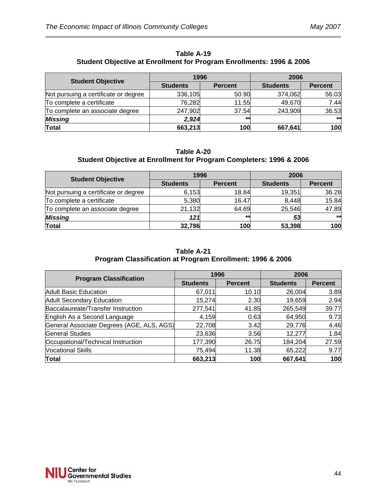| Table A-19                                                                      |
|---------------------------------------------------------------------------------|
| <b>Student Objective at Enrollment for Program Enrollments: 1996 &amp; 2006</b> |

| <b>Student Objective</b>             | 1996            |                | 2006            |                |  |
|--------------------------------------|-----------------|----------------|-----------------|----------------|--|
|                                      | <b>Students</b> | <b>Percent</b> | <b>Students</b> | <b>Percent</b> |  |
| Not pursuing a certificate or degree | 336,105         | 50.90          | 374,062         | 56.03          |  |
| To complete a certificate            | 76,282          | 11.55          | 49,670          | 7.44           |  |
| To complete an associate degree      | 247,902         | 37.54          | 243,909         | 36.53          |  |
| <b>Missing</b>                       | 2,924           | **             |                 | $**$           |  |
| Total                                | 663,213         | 100            | 667,641         | 100            |  |

#### **Table A-20 Student Objective at Enrollment for Program Completers: 1996 & 2006**

| <b>Student Objective</b>             | 1996            |                | 2006            |                |  |
|--------------------------------------|-----------------|----------------|-----------------|----------------|--|
|                                      | <b>Students</b> | <b>Percent</b> | <b>Students</b> | <b>Percent</b> |  |
| Not pursuing a certificate or degree | 6,153           | 18.84          | 19,351          | 36.28          |  |
| To complete a certificate            | 5,380           | 16.47          | 8,448           | 15.84          |  |
| To complete an associate degree      | 21,132          | 64.69          | 25,546          | 47.89          |  |
| <b>Missing</b>                       | 121             | $**$           | 53              | $***$          |  |
| <b>Total</b>                         | 32,786          | 100            | 53,398          | 100            |  |

#### **Table A-21 Program Classification at Program Enrollment: 1996 & 2006**

|                                           |                 | 1996           | 2006            |                |  |
|-------------------------------------------|-----------------|----------------|-----------------|----------------|--|
| <b>Program Classification</b>             | <b>Students</b> | <b>Percent</b> | <b>Students</b> | <b>Percent</b> |  |
| <b>Adult Basic Education</b>              | 67,011          | 10.10          | 26,004          | 3.89           |  |
| <b>Adult Secondary Education</b>          | 15,274          | 2.30           | 19,659          | 2.94           |  |
| Baccalaureate/Transfer Instruction        | 277,541         | 41.85          | 265,549         | 39.77          |  |
| English As a Second Language              | 4,159           | 0.63           | 64,950          | 9.73           |  |
| General Associate Degrees (AGE, ALS, AGS) | 22,708          | 3.42           | 29,776          | 4.46           |  |
| <b>General Studies</b>                    | 23,636          | 3.56           | 12,277          | 1.84           |  |
| Occupational/Technical Instruction        | 177,390         | 26.75          | 184,204         | 27.59          |  |
| <b>Vocational Skills</b>                  | 75,494          | 11.38          | 65,222          | 9.77           |  |
| <b>Total</b>                              | 663,213         | 100            | 667,641         | 100            |  |

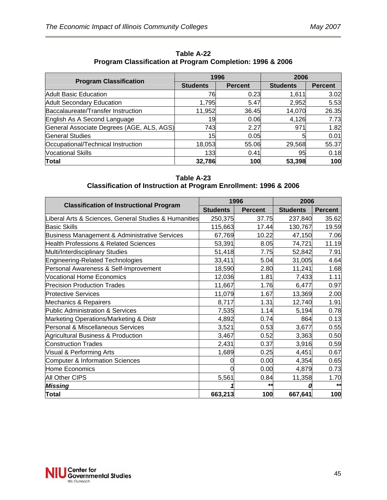| <b>Program Classification</b>             |                 | 1996           | 2006            |                |  |
|-------------------------------------------|-----------------|----------------|-----------------|----------------|--|
|                                           | <b>Students</b> | <b>Percent</b> | <b>Students</b> | <b>Percent</b> |  |
| Adult Basic Education                     | 76              | 0.23           | 1,611           | 3.02           |  |
| <b>Adult Secondary Education</b>          | 1,795           | 5.47           | 2,952           | 5.53           |  |
| Baccalaureate/Transfer Instruction        | 11,952          | 36.45          | 14,070          | 26.35          |  |
| English As A Second Language              | 19              | 0.06           | 4,126           | 7.73           |  |
| General Associate Degrees (AGE, ALS, AGS) | 743             | 2.27           | 971             | 1.82           |  |
| <b>General Studies</b>                    | 15              | 0.05           |                 | 0.01           |  |
| Occupational/Technical Instruction        | 18,053          | 55.06          | 29,568          | 55.37          |  |
| <b>Vocational Skills</b>                  | 133             | 0.41           | 95              | 0.18           |  |
| <b>Total</b>                              | 32,786          | 100            | 53,398          | 100            |  |

**Table A-22 Program Classification at Program Completion: 1996 & 2006** 

**Table A-23 Classification of Instruction at Program Enrollment: 1996 & 2006** 

|                                                       |                 | 1996           | 2006            |                |  |
|-------------------------------------------------------|-----------------|----------------|-----------------|----------------|--|
| <b>Classification of Instructional Program</b>        | <b>Students</b> | <b>Percent</b> | <b>Students</b> | <b>Percent</b> |  |
| Liberal Arts & Sciences, General Studies & Humanities | 250,375         | 37.75          | 237,840         | 35.62          |  |
| <b>Basic Skills</b>                                   | 115,663         | 17.44          | 130,767         | 19.59          |  |
| Business Management & Administrative Services         | 67,769          | 10.22          | 47,150          | 7.06           |  |
| <b>Health Professions &amp; Related Sciences</b>      | 53,391          | 8.05           | 74,721          | 11.19          |  |
| Multi/Interdisciplinary Studies                       | 51,418          | 7.75           | 52,842          | 7.91           |  |
| Engineering-Related Technologies                      | 33,411          | 5.04           | 31,005          | 4.64           |  |
| Personal Awareness & Self-Improvement                 | 18,590          | 2.80           | 11,241          | 1.68           |  |
| <b>Vocational Home Economics</b>                      | 12,036          | 1.81           | 7,433           | 1.11           |  |
| <b>Precision Production Trades</b>                    | 11,667          | 1.76           | 6,477           | 0.97           |  |
| <b>Protective Services</b>                            | 11,079          | 1.67           | 13,369          | 2.00           |  |
| Mechanics & Repairers                                 | 8,717           | 1.31           | 12,740          | 1.91           |  |
| Public Administration & Services                      | 7,535           | 1.14           | 5,194           | 0.78           |  |
| Marketing Operations/Marketing & Distr                | 4,892           | 0.74           | 864             | 0.13           |  |
| Personal & Miscellaneous Services                     | 3,521           | 0.53           | 3,677           | 0.55           |  |
| Agricultural Business & Production                    | 3,467           | 0.52           | 3,363           | 0.50           |  |
| <b>Construction Trades</b>                            | 2,431           | 0.37           | 3,916           | 0.59           |  |
| Visual & Performing Arts                              | 1,689           | 0.25           | 4,451           | 0.67           |  |
| Computer & Information Sciences                       |                 | 0.00           | 4,354           | 0.65           |  |
| Home Economics                                        |                 | 0.00           | 4,879           | 0.73           |  |
| All Other CIPS                                        | 5,561           | 0.84           | 11,358          | 1.70           |  |
| Missing                                               |                 | $\star\star$   |                 | $\star$        |  |
| <b>Total</b>                                          | 663,213         | 100            | 667,641         | 100            |  |

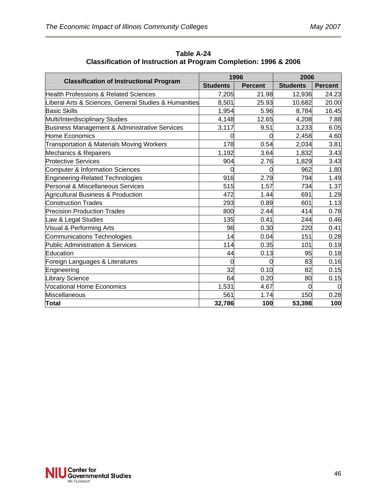| <b>Classification of Instructional Program</b>        |                 | 1996           | 2006            |                |  |
|-------------------------------------------------------|-----------------|----------------|-----------------|----------------|--|
|                                                       | <b>Students</b> | <b>Percent</b> | <b>Students</b> | <b>Percent</b> |  |
| <b>Health Professions &amp; Related Sciences</b>      | 7,205           | 21.98          | 12,936          | 24.23          |  |
| Liberal Arts & Sciences, General Studies & Humanities | 8,501           | 25.93          | 10,682          | 20.00          |  |
| <b>Basic Skills</b>                                   | 1,954           | 5.96           | 8,784           | 16.45          |  |
| Multi/Interdisciplinary Studies                       | 4,148           | 12.65          | 4,208           | 7.88           |  |
| Business Management & Administrative Services         | 3,117           | 9.51           | 3,233           | 6.05           |  |
| Home Economics                                        | 0               |                | 2,458           | 4.60           |  |
| Transportation & Materials Moving Workers             | 178             | 0.54           | 2,034           | 3.81           |  |
| Mechanics & Repairers                                 | 1,192           | 3.64           | 1,832           | 3.43           |  |
| <b>Protective Services</b>                            | 904             | 2.76           | 1,829           | 3.43           |  |
| Computer & Information Sciences                       | 0               | O              | 962             | 1.80           |  |
| Engineering-Related Technologies                      | 916             | 2.79           | 794             | 1.49           |  |
| Personal & Miscellaneous Services                     | 515             | 1.57           | 734             | 1.37           |  |
| Agricultural Business & Production                    | 472             | 1.44           | 691             | 1.29           |  |
| <b>Construction Trades</b>                            | 293             | 0.89           | 601             | 1.13           |  |
| <b>Precision Production Trades</b>                    | 800             | 2.44           | 414             | 0.78           |  |
| Law & Legal Studies                                   | 135             | 0.41           | 244             | 0.46           |  |
| Visual & Performing Arts                              | 96              | 0.30           | 220             | 0.41           |  |
| Communications Technologies                           | 14              | 0.04           | 151             | 0.28           |  |
| Public Administration & Services                      | 114             | 0.35           | 101             | 0.19           |  |
| Education                                             | 44              | 0.13           | 95              | 0.18           |  |
| Foreign Languages & Literatures                       | 0               | 0              | 83              | 0.16           |  |
| Engineering                                           | 32              | 0.10           | 82              | 0.15           |  |
| Library Science                                       | 64              | 0.20           | 80              | 0.15           |  |
| Vocational Home Economics                             | 1,531           | 4.67           | 0               | $\Omega$       |  |
| Miscellaneous                                         | 561             | 1.74           | 150             | 0.28           |  |
| <b>Total</b>                                          | 32,786          | 100            | 53,398          | 100            |  |

**Table A-24 Classification of Instruction at Program Completion: 1996 & 2006** 

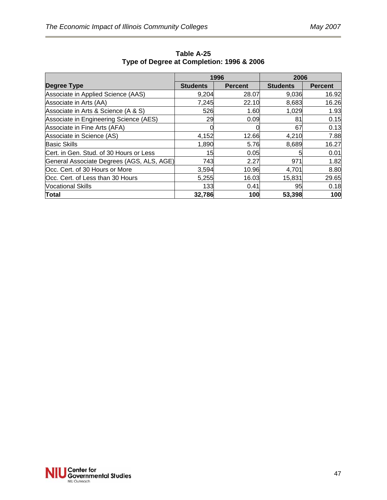|                                           |                 | 1996           | 2006            |                |  |
|-------------------------------------------|-----------------|----------------|-----------------|----------------|--|
| Degree Type                               | <b>Students</b> | <b>Percent</b> | <b>Students</b> | <b>Percent</b> |  |
| Associate in Applied Science (AAS)        | 9,204           | 28.07          | 9,036           | 16.92          |  |
| Associate in Arts (AA)                    | 7,245           | 22.10          | 8,683           | 16.26          |  |
| Associate in Arts & Science (A & S)       | 526             | 1.60           | 1,029           | 1.93           |  |
| Associate in Engineering Science (AES)    | 29              | 0.09           | 81              | 0.15           |  |
| Associate in Fine Arts (AFA)              |                 |                | 67              | 0.13           |  |
| Associate in Science (AS)                 | 4,152           | 12.66          | 4,210           | 7.88           |  |
| <b>Basic Skills</b>                       | 1,890           | 5.76           | 8,689           | 16.27          |  |
| Cert. in Gen. Stud. of 30 Hours or Less   | 15              | 0.05           | 5               | 0.01           |  |
| General Associate Degrees (AGS, ALS, AGE) | 743             | 2.27           | 971             | 1.82           |  |
| Occ. Cert. of 30 Hours or More            | 3,594           | 10.96          | 4,701           | 8.80           |  |
| Occ. Cert. of Less than 30 Hours          | 5,255           | 16.03          | 15,831          | 29.65          |  |
| <b>Vocational Skills</b>                  | 133             | 0.41           | 95              | 0.18           |  |
| Total                                     | 32,786          | 100            | 53,398          | 100            |  |

**Table A-25 Type of Degree at Completion: 1996 & 2006** 

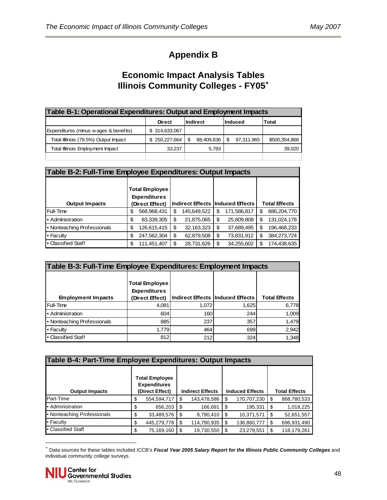# **Appendix B**

# **Economic Impact Analysis Tables Illinois Community Colleges - FY05**[∗](#page-47-0)

| Table B-1: Operational Expenditures: Output and Employment Impacts |                                                              |            |                 |               |  |  |  |  |
|--------------------------------------------------------------------|--------------------------------------------------------------|------------|-----------------|---------------|--|--|--|--|
|                                                                    | <b>Indirect</b><br>lInduced<br><b>Total</b><br><b>Direct</b> |            |                 |               |  |  |  |  |
| Expenditures (minus wages & benefits)                              | \$314,633,067                                                |            |                 |               |  |  |  |  |
| Total Illinois (79.5%) Output Impact                               | \$250.227.664                                                | 88,409,836 | 97,311,965<br>S | \$500,354,868 |  |  |  |  |
| <b>Total Illinois Employment Impact</b>                            | 33,237                                                       | 5,783      |                 | 39,020        |  |  |  |  |
|                                                                    |                                                              |            |                 |               |  |  |  |  |

| Table B-2: Full-Time Employee Expenditures: Output Impacts |                                                                |                                  |             |                      |  |  |  |
|------------------------------------------------------------|----------------------------------------------------------------|----------------------------------|-------------|----------------------|--|--|--|
| <b>Output Impacts</b>                                      | <b>Total Employee</b><br><b>Expenditures</b><br>Direct Effect) | Indirect Effects Induced Effects |             | <b>Total Effects</b> |  |  |  |
| Full-Time                                                  | 568,968,431                                                    | 145,649,522                      | 171,586,817 | 886,204,770          |  |  |  |
|                                                            | \$                                                             | \$                               | \$          | \$                   |  |  |  |
| • Administration                                           | 83,339,305                                                     | 21,875,065                       | 25,809,808  | 131,024,178          |  |  |  |
|                                                            | \$                                                             | \$                               | S           | S                    |  |  |  |
| • Nonteaching Professionals                                | 126,615,415                                                    | 32,163,323                       | 37,689,495  | 196,468,233          |  |  |  |
|                                                            | S                                                              | \$                               | S           | S                    |  |  |  |
| • Faculty                                                  | \$                                                             | \$                               | 73,831,912  | 384,273,724          |  |  |  |
|                                                            | 247,562,304                                                    | 62,879,508                       | \$          | \$                   |  |  |  |
| • Classified Staff                                         | 111,451,407                                                    | 28,731,626                       | 34,255,602  | 174,438,635          |  |  |  |
|                                                            | \$                                                             | \$                               | S           | S                    |  |  |  |

| Table B-3: Full-Time Employee Expenditures: Employment Impacts |                                                                 |       |                                    |                      |  |  |  |
|----------------------------------------------------------------|-----------------------------------------------------------------|-------|------------------------------------|----------------------|--|--|--|
| <b>Employment Impacts</b>                                      | <b>Total Employee</b><br><b>Expenditures</b><br>(Direct Effect) |       | Indirect Effects   Induced Effects | <b>Total Effects</b> |  |  |  |
| Full-Time                                                      | 4,081                                                           | 1.072 | 1,625                              | 6,778                |  |  |  |
| • Administration                                               | 604                                                             | 160   | 244                                | 1,009                |  |  |  |
| • Nonteaching Professionals                                    | 885                                                             | 237   | 357                                | 1,479                |  |  |  |
| • Faculty                                                      | 1,779                                                           | 464   | 699                                | 2,942                |  |  |  |
| • Classified Staff                                             | 812                                                             | 212   | 324                                | 1,348                |  |  |  |

| Table B-4: Part-Time Employee Expenditures: Output Impacts |    |                                                                 |     |                         |      |                        |      |                      |
|------------------------------------------------------------|----|-----------------------------------------------------------------|-----|-------------------------|------|------------------------|------|----------------------|
| <b>Output Impacts</b>                                      |    | <b>Total Employee</b><br><b>Expenditures</b><br>(Direct Effect) |     | <b>Indirect Effects</b> |      | <b>Induced Effects</b> |      | <b>Total Effects</b> |
| Part-Time                                                  | S  | 554,594,717                                                     | S   | 143,478,586             | \$   | 170,707,230            | - \$ | 868,780,533          |
| Administration                                             | S  | 656,203                                                         | \$  | 166,691                 | S    | 195,331                | - \$ | 1,018,225            |
| • Nonteaching Professionals                                | \$ | 33,489,576                                                      | S   | 8,790,410               | -\$  | 10,371,571             | - \$ | 52,651,557           |
| • Faculty                                                  |    | 445,279,778                                                     | \$. | 114,790,935             | - \$ | 136,860,777            |      | 696,931,490          |
| • Classified Staff                                         | S  | 75,169,160                                                      | S   | 19,730,550              | S.   | 23,279,551             |      | 118,179,261          |

<span id="page-47-0"></span><sup>∗</sup> Data sources for these tables included ICCB's *Fiscal Year 2005 Salary Report for the Illinois Public Community Colleges* and individual community college surveys.